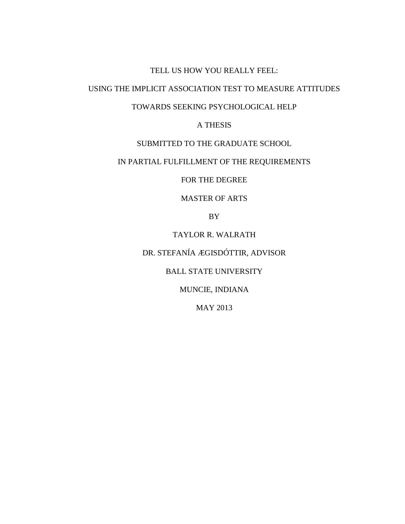### TELL US HOW YOU REALLY FEEL:

## USING THE IMPLICIT ASSOCIATION TEST TO MEASURE ATTITUDES

## TOWARDS SEEKING PSYCHOLOGICAL HELP

A THESIS

## SUBMITTED TO THE GRADUATE SCHOOL

## IN PARTIAL FULFILLMENT OF THE REQUIREMENTS

FOR THE DEGREE

MASTER OF ARTS

BY

TAYLOR R. WALRATH

DR. STEFANÍA ÆGISDÓTTIR, ADVISOR

BALL STATE UNIVERSITY

MUNCIE, INDIANA

MAY 2013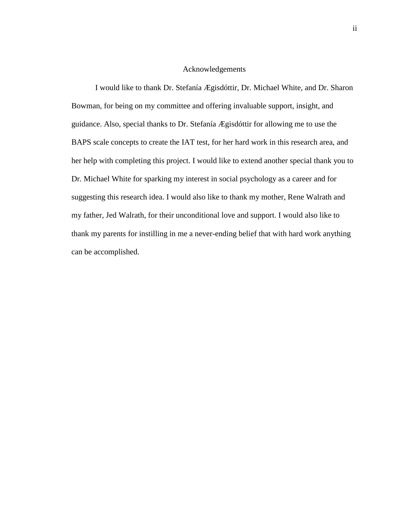### Acknowledgements

 I would like to thank Dr. Stefanía Ægisdóttir, Dr. Michael White, and Dr. Sharon Bowman, for being on my committee and offering invaluable support, insight, and guidance. Also, special thanks to Dr. Stefanía Ægisdóttir for allowing me to use the BAPS scale concepts to create the IAT test, for her hard work in this research area, and her help with completing this project. I would like to extend another special thank you to Dr. Michael White for sparking my interest in social psychology as a career and for suggesting this research idea. I would also like to thank my mother, Rene Walrath and my father, Jed Walrath, for their unconditional love and support. I would also like to thank my parents for instilling in me a never-ending belief that with hard work anything can be accomplished.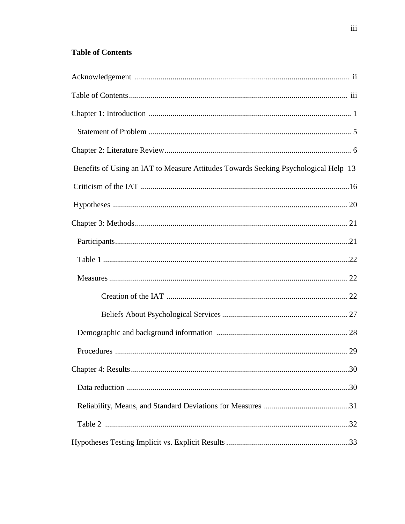## **Table of Contents**

| Benefits of Using an IAT to Measure Attitudes Towards Seeking Psychological Help 13 |
|-------------------------------------------------------------------------------------|
|                                                                                     |
|                                                                                     |
|                                                                                     |
|                                                                                     |
|                                                                                     |
|                                                                                     |
|                                                                                     |
|                                                                                     |
|                                                                                     |
|                                                                                     |
|                                                                                     |
|                                                                                     |
|                                                                                     |
|                                                                                     |
|                                                                                     |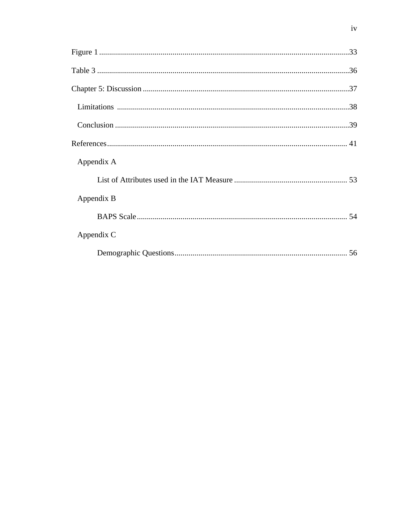| Appendix A |  |
|------------|--|
|            |  |
| Appendix B |  |
|            |  |
| Appendix C |  |
|            |  |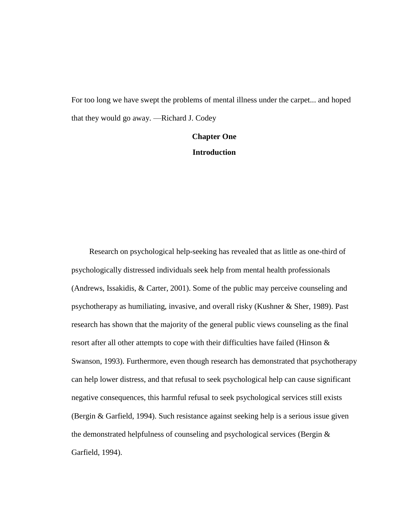For too long we have swept the problems of mental illness under the carpet... and hoped that they would go away. —Richard J. Codey

## **Chapter One Introduction**

Research on psychological help-seeking has revealed that as little as one-third of psychologically distressed individuals seek help from mental health professionals (Andrews, Issakidis, & Carter, 2001). Some of the public may perceive counseling and psychotherapy as humiliating, invasive, and overall risky (Kushner & Sher, 1989). Past research has shown that the majority of the general public views counseling as the final resort after all other attempts to cope with their difficulties have failed (Hinson & Swanson, 1993). Furthermore, even though research has demonstrated that psychotherapy can help lower distress, and that refusal to seek psychological help can cause significant negative consequences, this harmful refusal to seek psychological services still exists (Bergin & Garfield, 1994). Such resistance against seeking help is a serious issue given the demonstrated helpfulness of counseling and psychological services (Bergin & Garfield, 1994).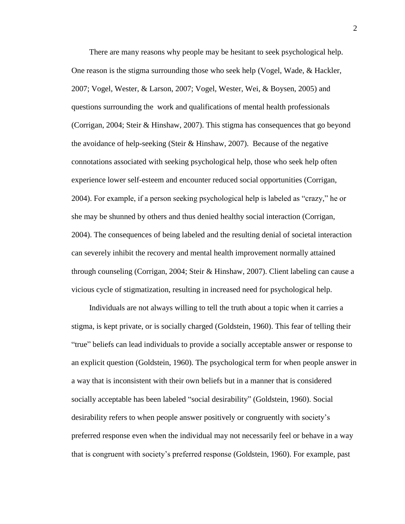There are many reasons why people may be hesitant to seek psychological help. One reason is the stigma surrounding those who seek help (Vogel, Wade, & Hackler, 2007; Vogel, Wester, & Larson, 2007; Vogel, Wester, Wei, & Boysen, 2005) and questions surrounding the work and qualifications of mental health professionals (Corrigan, 2004; Steir & Hinshaw, 2007). This stigma has consequences that go beyond the avoidance of help-seeking (Steir & Hinshaw, 2007). Because of the negative connotations associated with seeking psychological help, those who seek help often experience lower self-esteem and encounter reduced social opportunities (Corrigan, 2004). For example, if a person seeking psychological help is labeled as "crazy," he or she may be shunned by others and thus denied healthy social interaction (Corrigan, 2004). The consequences of being labeled and the resulting denial of societal interaction can severely inhibit the recovery and mental health improvement normally attained through counseling (Corrigan, 2004; Steir & Hinshaw, 2007). Client labeling can cause a vicious cycle of stigmatization, resulting in increased need for psychological help.

Individuals are not always willing to tell the truth about a topic when it carries a stigma, is kept private, or is socially charged (Goldstein, 1960). This fear of telling their "true" beliefs can lead individuals to provide a socially acceptable answer or response to an explicit question (Goldstein, 1960). The psychological term for when people answer in a way that is inconsistent with their own beliefs but in a manner that is considered socially acceptable has been labeled "social desirability" (Goldstein, 1960). Social desirability refers to when people answer positively or congruently with society's preferred response even when the individual may not necessarily feel or behave in a way that is congruent with society's preferred response (Goldstein, 1960). For example, past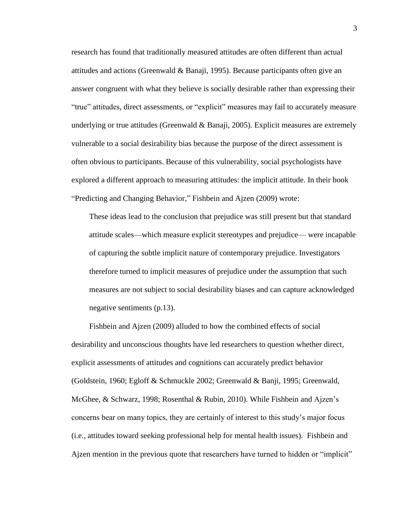research has found that traditionally measured attitudes are often different than actual attitudes and actions (Greenwald & Banaji, 1995). Because participants often give an answer congruent with what they believe is socially desirable rather than expressing their "true" attitudes, direct assessments, or "explicit" measures may fail to accurately measure underlying or true attitudes (Greenwald & Banaji, 2005). Explicit measures are extremely vulnerable to a social desirability bias because the purpose of the direct assessment is often obvious to participants. Because of this vulnerability, social psychologists have explored a different approach to measuring attitudes: the implicit attitude. In their book "Predicting and Changing Behavior," Fishbein and Ajzen (2009) wrote:

These ideas lead to the conclusion that prejudice was still present but that standard attitude scales—which measure explicit stereotypes and prejudice— were incapable of capturing the subtle implicit nature of contemporary prejudice. Investigators therefore turned to implicit measures of prejudice under the assumption that such measures are not subject to social desirability biases and can capture acknowledged negative sentiments (p.13).

Fishbein and Ajzen (2009) alluded to how the combined effects of social desirability and unconscious thoughts have led researchers to question whether direct, explicit assessments of attitudes and cognitions can accurately predict behavior (Goldstein, 1960; Egloff & Schmuckle 2002; Greenwald & Banji, 1995; Greenwald, McGhee, & Schwarz, 1998; Rosenthal & Rubin, 2010). While Fishbein and Ajzen's concerns bear on many topics, they are certainly of interest to this study's major focus (i.e., attitudes toward seeking professional help for mental health issues). Fishbein and Ajzen mention in the previous quote that researchers have turned to hidden or "implicit"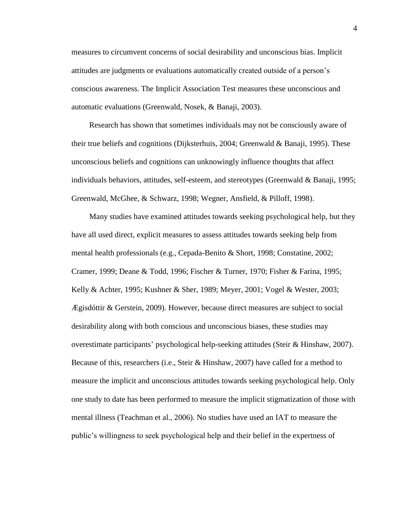measures to circumvent concerns of social desirability and unconscious bias. Implicit attitudes are judgments or evaluations automatically created outside of a person's conscious awareness. The Implicit Association Test measures these unconscious and automatic evaluations (Greenwald, Nosek, & Banaji, 2003).

Research has shown that sometimes individuals may not be consciously aware of their true beliefs and cognitions (Dijksterhuis, 2004; Greenwald & Banaji, 1995). These unconscious beliefs and cognitions can unknowingly influence thoughts that affect individuals behaviors, attitudes, self-esteem, and stereotypes (Greenwald  $\&$  Banaji, 1995; Greenwald, McGhee, & Schwarz, 1998; Wegner, Ansfield, & Pilloff, 1998).

Many studies have examined attitudes towards seeking psychological help, but they have all used direct, explicit measures to assess attitudes towards seeking help from mental health professionals (e.g., Cepada-Benito & Short, 1998; Constatine, 2002; Cramer, 1999; Deane & Todd, 1996; Fischer & Turner, 1970; Fisher & Farina, 1995; Kelly & Achter, 1995; Kushner & Sher, 1989; Meyer, 2001; Vogel & Wester, 2003; Ægisdóttir & Gerstein, 2009). However, because direct measures are subject to social desirability along with both conscious and unconscious biases, these studies may overestimate participants' psychological help-seeking attitudes (Steir & Hinshaw, 2007). Because of this, researchers (i.e., Steir & Hinshaw, 2007) have called for a method to measure the implicit and unconscious attitudes towards seeking psychological help. Only one study to date has been performed to measure the implicit stigmatization of those with mental illness (Teachman et al., 2006). No studies have used an IAT to measure the public's willingness to seek psychological help and their belief in the expertness of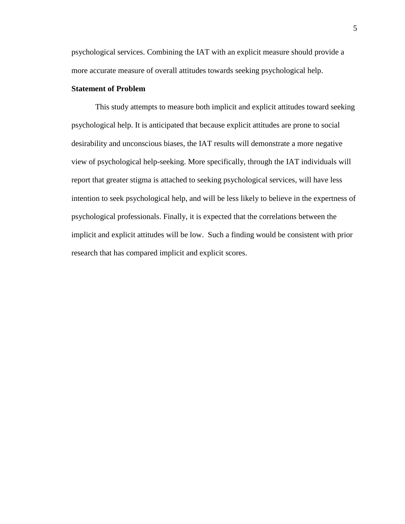psychological services. Combining the IAT with an explicit measure should provide a more accurate measure of overall attitudes towards seeking psychological help.

## **Statement of Problem**

This study attempts to measure both implicit and explicit attitudes toward seeking psychological help. It is anticipated that because explicit attitudes are prone to social desirability and unconscious biases, the IAT results will demonstrate a more negative view of psychological help-seeking. More specifically, through the IAT individuals will report that greater stigma is attached to seeking psychological services, will have less intention to seek psychological help, and will be less likely to believe in the expertness of psychological professionals. Finally, it is expected that the correlations between the implicit and explicit attitudes will be low. Such a finding would be consistent with prior research that has compared implicit and explicit scores.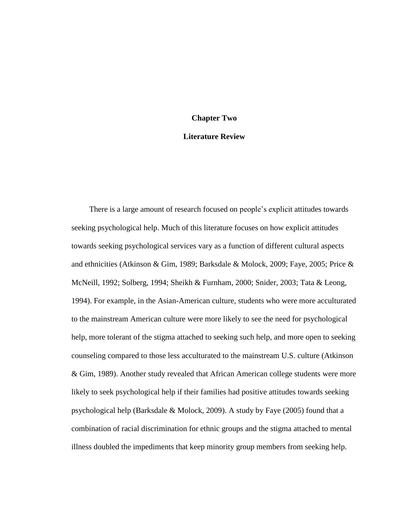# **Chapter Two**

## **Literature Review**

There is a large amount of research focused on people's explicit attitudes towards seeking psychological help. Much of this literature focuses on how explicit attitudes towards seeking psychological services vary as a function of different cultural aspects and ethnicities (Atkinson & Gim, 1989; Barksdale & Molock, 2009; Faye, 2005; Price & McNeill, 1992; Solberg, 1994; Sheikh & Furnham, 2000; Snider, 2003; Tata & Leong, 1994). For example, in the Asian-American culture, students who were more acculturated to the mainstream American culture were more likely to see the need for psychological help, more tolerant of the stigma attached to seeking such help, and more open to seeking counseling compared to those less acculturated to the mainstream U.S. culture (Atkinson & Gim, 1989). Another study revealed that African American college students were more likely to seek psychological help if their families had positive attitudes towards seeking psychological help (Barksdale & Molock, 2009). A study by Faye (2005) found that a combination of racial discrimination for ethnic groups and the stigma attached to mental illness doubled the impediments that keep minority group members from seeking help.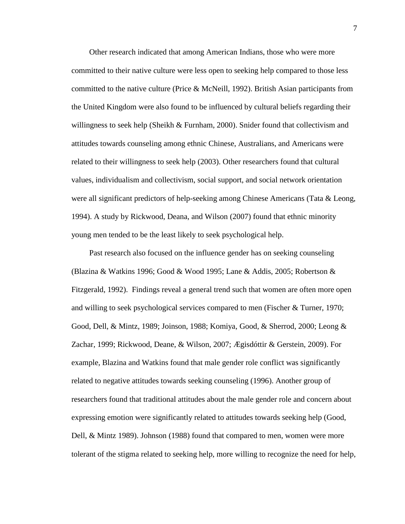Other research indicated that among American Indians, those who were more committed to their native culture were less open to seeking help compared to those less committed to the native culture (Price & McNeill, 1992). British Asian participants from the United Kingdom were also found to be influenced by cultural beliefs regarding their willingness to seek help (Sheikh & Furnham, 2000). Snider found that collectivism and attitudes towards counseling among ethnic Chinese, Australians, and Americans were related to their willingness to seek help (2003). Other researchers found that cultural values, individualism and collectivism, social support, and social network orientation were all significant predictors of help-seeking among Chinese Americans (Tata & Leong, 1994). A study by Rickwood, Deana, and Wilson (2007) found that ethnic minority young men tended to be the least likely to seek psychological help.

Past research also focused on the influence gender has on seeking counseling (Blazina & Watkins 1996; Good & Wood 1995; Lane & Addis, 2005; Robertson & Fitzgerald, 1992). Findings reveal a general trend such that women are often more open and willing to seek psychological services compared to men (Fischer & Turner, 1970; Good, Dell, & Mintz, 1989; Joinson, 1988; Komiya, Good, & Sherrod, 2000; Leong & Zachar, 1999; Rickwood, Deane, & Wilson, 2007; Ægisdóttir & Gerstein, 2009). For example, Blazina and Watkins found that male gender role conflict was significantly related to negative attitudes towards seeking counseling (1996). Another group of researchers found that traditional attitudes about the male gender role and concern about expressing emotion were significantly related to attitudes towards seeking help (Good, Dell, & Mintz 1989). Johnson (1988) found that compared to men, women were more tolerant of the stigma related to seeking help, more willing to recognize the need for help,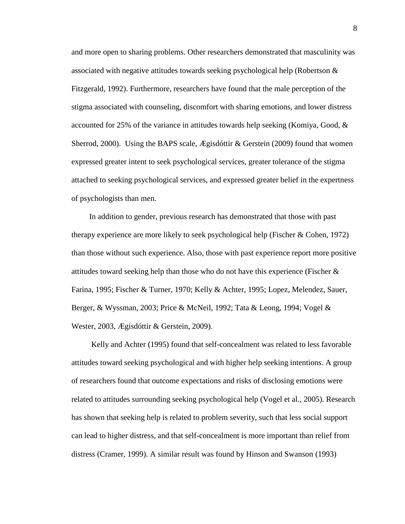and more open to sharing problems. Other researchers demonstrated that masculinity was associated with negative attitudes towards seeking psychological help (Robertson & Fitzgerald, 1992). Furthermore, researchers have found that the male perception of the stigma associated with counseling, discomfort with sharing emotions, and lower distress accounted for 25% of the variance in attitudes towards help seeking (Komiya, Good, & Sherrod, 2000). Using the BAPS scale, Ægisdóttir & Gerstein (2009) found that women expressed greater intent to seek psychological services, greater tolerance of the stigma attached to seeking psychological services, and expressed greater belief in the expertness of psychologists than men.

In addition to gender, previous research has demonstrated that those with past therapy experience are more likely to seek psychological help (Fischer & Cohen, 1972) than those without such experience. Also, those with past experience report more positive attitudes toward seeking help than those who do not have this experience (Fischer & Farina, 1995; Fischer & Turner, 1970; Kelly & Achter, 1995; Lopez, Melendez, Sauer, Berger, & Wyssman, 2003; Price & McNeil, 1992; Tata & Leong, 1994; Vogel & Wester, 2003, Ægisdóttir & Gerstein, 2009).

Kelly and Achter (1995) found that self-concealment was related to less favorable attitudes toward seeking psychological and with higher help seeking intentions. A group of researchers found that outcome expectations and risks of disclosing emotions were related to attitudes surrounding seeking psychological help (Vogel et al., 2005). Research has shown that seeking help is related to problem severity, such that less social support can lead to higher distress, and that self-concealment is more important than relief from distress (Cramer, 1999). A similar result was found by Hinson and Swanson (1993)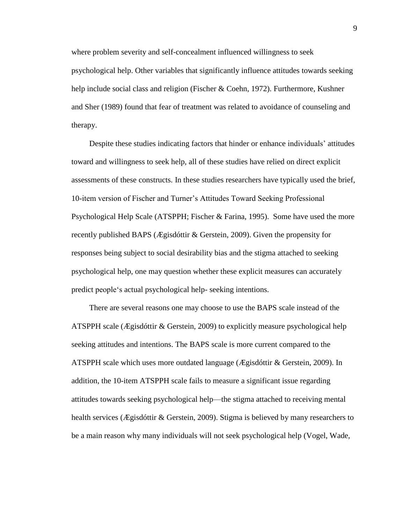where problem severity and self-concealment influenced willingness to seek psychological help. Other variables that significantly influence attitudes towards seeking help include social class and religion (Fischer & Coehn, 1972). Furthermore, Kushner and Sher (1989) found that fear of treatment was related to avoidance of counseling and therapy.

Despite these studies indicating factors that hinder or enhance individuals' attitudes toward and willingness to seek help, all of these studies have relied on direct explicit assessments of these constructs. In these studies researchers have typically used the brief, 10-item version of Fischer and Turner's Attitudes Toward Seeking Professional Psychological Help Scale (ATSPPH; Fischer & Farina, 1995). Some have used the more recently published BAPS (Ægisdóttir & Gerstein, 2009). Given the propensity for responses being subject to social desirability bias and the stigma attached to seeking psychological help, one may question whether these explicit measures can accurately predict people's actual psychological help- seeking intentions.

There are several reasons one may choose to use the BAPS scale instead of the ATSPPH scale (Ægisdóttir & Gerstein, 2009) to explicitly measure psychological help seeking attitudes and intentions. The BAPS scale is more current compared to the ATSPPH scale which uses more outdated language (Ægisdóttir & Gerstein, 2009). In addition, the 10-item ATSPPH scale fails to measure a significant issue regarding attitudes towards seeking psychological help—the stigma attached to receiving mental health services (Ægisdóttir & Gerstein, 2009). Stigma is believed by many researchers to be a main reason why many individuals will not seek psychological help (Vogel, Wade,

9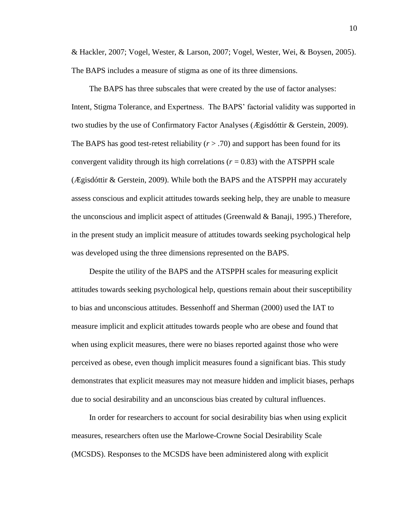& Hackler, 2007; Vogel, Wester, & Larson, 2007; Vogel, Wester, Wei, & Boysen, 2005). The BAPS includes a measure of stigma as one of its three dimensions.

The BAPS has three subscales that were created by the use of factor analyses: Intent, Stigma Tolerance, and Expertness. The BAPS' factorial validity was supported in two studies by the use of Confirmatory Factor Analyses (Ægisdóttir & Gerstein, 2009). The BAPS has good test-retest reliability  $(r > .70)$  and support has been found for its convergent validity through its high correlations ( $r = 0.83$ ) with the ATSPPH scale (Ægisdóttir & Gerstein, 2009). While both the BAPS and the ATSPPH may accurately assess conscious and explicit attitudes towards seeking help, they are unable to measure the unconscious and implicit aspect of attitudes (Greenwald & Banaji, 1995.) Therefore, in the present study an implicit measure of attitudes towards seeking psychological help was developed using the three dimensions represented on the BAPS.

Despite the utility of the BAPS and the ATSPPH scales for measuring explicit attitudes towards seeking psychological help, questions remain about their susceptibility to bias and unconscious attitudes. Bessenhoff and Sherman (2000) used the IAT to measure implicit and explicit attitudes towards people who are obese and found that when using explicit measures, there were no biases reported against those who were perceived as obese, even though implicit measures found a significant bias. This study demonstrates that explicit measures may not measure hidden and implicit biases, perhaps due to social desirability and an unconscious bias created by cultural influences.

In order for researchers to account for social desirability bias when using explicit measures, researchers often use the Marlowe-Crowne Social Desirability Scale (MCSDS). Responses to the MCSDS have been administered along with explicit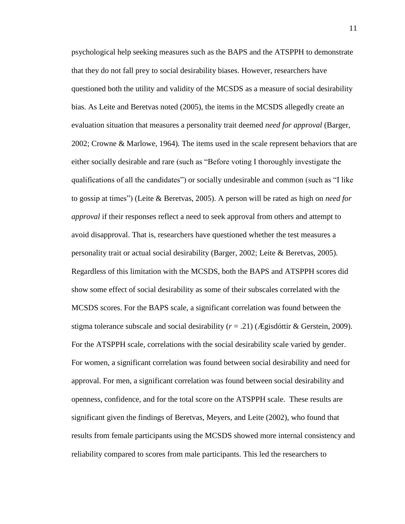psychological help seeking measures such as the BAPS and the ATSPPH to demonstrate that they do not fall prey to social desirability biases. However, researchers have questioned both the utility and validity of the MCSDS as a measure of social desirability bias. As Leite and Beretvas noted (2005), the items in the MCSDS allegedly create an evaluation situation that measures a personality trait deemed *need for approval* (Barger, 2002; Crowne & Marlowe, 1964)*.* The items used in the scale represent behaviors that are either socially desirable and rare (such as "Before voting I thoroughly investigate the qualifications of all the candidates") or socially undesirable and common (such as "I like to gossip at times") (Leite & Beretvas, 2005). A person will be rated as high on *need for approval* if their responses reflect a need to seek approval from others and attempt to avoid disapproval. That is, researchers have questioned whether the test measures a personality trait or actual social desirability (Barger, 2002; Leite & Beretvas, 2005). Regardless of this limitation with the MCSDS, both the BAPS and ATSPPH scores did show some effect of social desirability as some of their subscales correlated with the MCSDS scores. For the BAPS scale, a significant correlation was found between the stigma tolerance subscale and social desirability  $(r = .21)$  (*Ægisdóttir & Gerstein, 2009*). For the ATSPPH scale, correlations with the social desirability scale varied by gender. For women, a significant correlation was found between social desirability and need for approval. For men, a significant correlation was found between social desirability and openness, confidence, and for the total score on the ATSPPH scale. These results are significant given the findings of Beretvas, Meyers, and Leite (2002), who found that results from female participants using the MCSDS showed more internal consistency and reliability compared to scores from male participants. This led the researchers to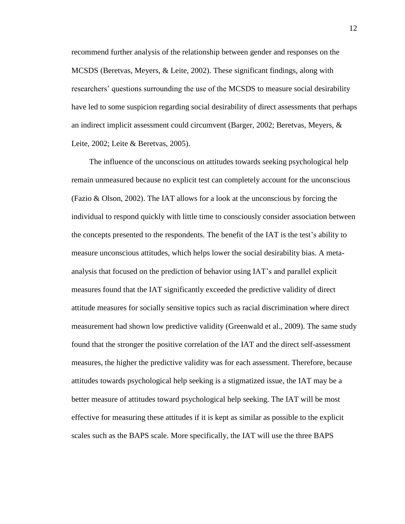recommend further analysis of the relationship between gender and responses on the MCSDS (Beretvas, Meyers, & Leite, 2002). These significant findings, along with researchers' questions surrounding the use of the MCSDS to measure social desirability have led to some suspicion regarding social desirability of direct assessments that perhaps an indirect implicit assessment could circumvent (Barger, 2002; Beretvas, Meyers, & Leite, 2002; Leite & Beretvas, 2005).

The influence of the unconscious on attitudes towards seeking psychological help remain unmeasured because no explicit test can completely account for the unconscious (Fazio & Olson, 2002). The IAT allows for a look at the unconscious by forcing the individual to respond quickly with little time to consciously consider association between the concepts presented to the respondents. The benefit of the IAT is the test's ability to measure unconscious attitudes, which helps lower the social desirability bias. A metaanalysis that focused on the prediction of behavior using IAT's and parallel explicit measures found that the IAT significantly exceeded the predictive validity of direct attitude measures for socially sensitive topics such as racial discrimination where direct measurement had shown low predictive validity (Greenwald et al., 2009). The same study found that the stronger the positive correlation of the IAT and the direct self-assessment measures, the higher the predictive validity was for each assessment. Therefore, because attitudes towards psychological help seeking is a stigmatized issue, the IAT may be a better measure of attitudes toward psychological help seeking. The IAT will be most effective for measuring these attitudes if it is kept as similar as possible to the explicit scales such as the BAPS scale. More specifically, the IAT will use the three BAPS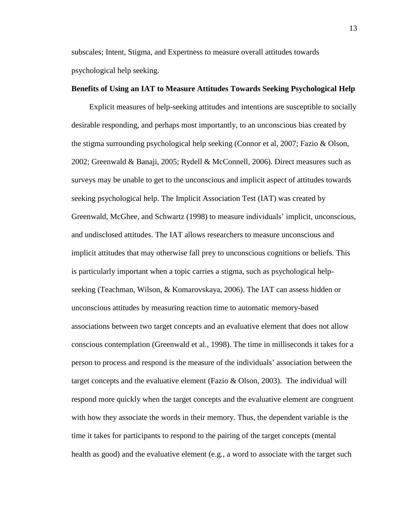subscales; Intent, Stigma, and Expertness to measure overall attitudes towards psychological help seeking.

#### **Benefits of Using an IAT to Measure Attitudes Towards Seeking Psychological Help**

Explicit measures of help-seeking attitudes and intentions are susceptible to socially desirable responding, and perhaps most importantly, to an unconscious bias created by the stigma surrounding psychological help seeking (Connor et al, 2007; Fazio & Olson, 2002; Greenwald & Banaji, 2005; Rydell & McConnell, 2006). Direct measures such as surveys may be unable to get to the unconscious and implicit aspect of attitudes towards seeking psychological help. The Implicit Association Test (IAT) was created by Greenwald, McGhee, and Schwartz (1998) to measure individuals' implicit, unconscious, and undisclosed attitudes. The IAT allows researchers to measure unconscious and implicit attitudes that may otherwise fall prey to unconscious cognitions or beliefs. This is particularly important when a topic carries a stigma, such as psychological helpseeking (Teachman, Wilson, & Komarovskaya, 2006). The IAT can assess hidden or unconscious attitudes by measuring reaction time to automatic memory-based associations between two target concepts and an evaluative element that does not allow conscious contemplation (Greenwald et al., 1998). The time in milliseconds it takes for a person to process and respond is the measure of the individuals' association between the target concepts and the evaluative element (Fazio  $\&$  Olson, 2003). The individual will respond more quickly when the target concepts and the evaluative element are congruent with how they associate the words in their memory. Thus, the dependent variable is the time it takes for participants to respond to the pairing of the target concepts (mental health as good) and the evaluative element (e.g., a word to associate with the target such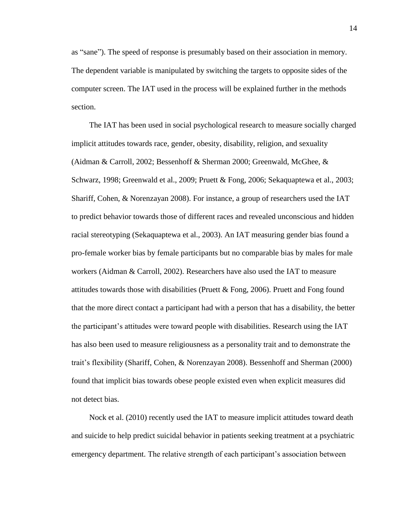as "sane"). The speed of response is presumably based on their association in memory. The dependent variable is manipulated by switching the targets to opposite sides of the computer screen. The IAT used in the process will be explained further in the methods section.

The IAT has been used in social psychological research to measure socially charged implicit attitudes towards race, gender, obesity, disability, religion, and sexuality (Aidman & Carroll, 2002; Bessenhoff & Sherman 2000; Greenwald, McGhee, & Schwarz, 1998; Greenwald et al., 2009; Pruett & Fong, 2006; Sekaquaptewa et al., 2003; Shariff, Cohen, & Norenzayan 2008). For instance, a group of researchers used the IAT to predict behavior towards those of different races and revealed unconscious and hidden racial stereotyping (Sekaquaptewa et al., 2003). An IAT measuring gender bias found a pro-female worker bias by female participants but no comparable bias by males for male workers (Aidman & Carroll, 2002). Researchers have also used the IAT to measure attitudes towards those with disabilities (Pruett & Fong, 2006). Pruett and Fong found that the more direct contact a participant had with a person that has a disability, the better the participant's attitudes were toward people with disabilities. Research using the IAT has also been used to measure religiousness as a personality trait and to demonstrate the trait's flexibility (Shariff, Cohen, & Norenzayan 2008). Bessenhoff and Sherman (2000) found that implicit bias towards obese people existed even when explicit measures did not detect bias.

Nock et al. (2010) recently used the IAT to measure implicit attitudes toward death and suicide to help predict suicidal behavior in patients seeking treatment at a psychiatric emergency department. The relative strength of each participant's association between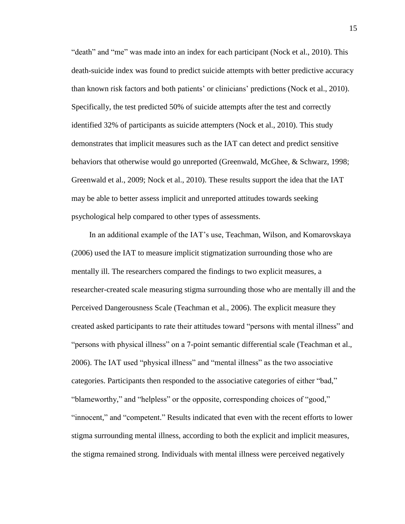"death" and "me" was made into an index for each participant (Nock et al., 2010). This death-suicide index was found to predict suicide attempts with better predictive accuracy than known risk factors and both patients' or clinicians' predictions (Nock et al., 2010). Specifically, the test predicted 50% of suicide attempts after the test and correctly identified 32% of participants as suicide attempters (Nock et al., 2010). This study demonstrates that implicit measures such as the IAT can detect and predict sensitive behaviors that otherwise would go unreported (Greenwald, McGhee, & Schwarz, 1998; Greenwald et al., 2009; Nock et al., 2010). These results support the idea that the IAT may be able to better assess implicit and unreported attitudes towards seeking psychological help compared to other types of assessments.

In an additional example of the IAT's use, Teachman, Wilson, and Komarovskaya (2006) used the IAT to measure implicit stigmatization surrounding those who are mentally ill. The researchers compared the findings to two explicit measures, a researcher-created scale measuring stigma surrounding those who are mentally ill and the Perceived Dangerousness Scale (Teachman et al., 2006). The explicit measure they created asked participants to rate their attitudes toward "persons with mental illness" and "persons with physical illness" on a 7-point semantic differential scale (Teachman et al., 2006). The IAT used "physical illness" and "mental illness" as the two associative categories. Participants then responded to the associative categories of either "bad," "blameworthy," and "helpless" or the opposite, corresponding choices of "good," "innocent," and "competent." Results indicated that even with the recent efforts to lower stigma surrounding mental illness, according to both the explicit and implicit measures, the stigma remained strong. Individuals with mental illness were perceived negatively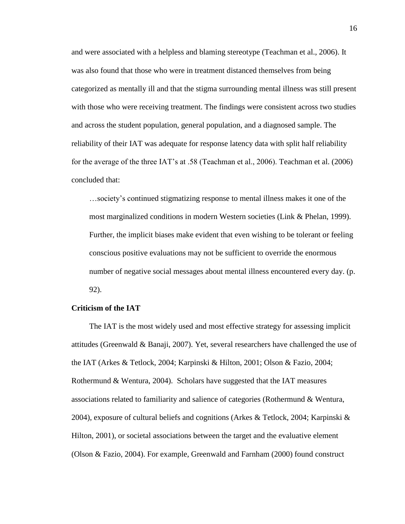and were associated with a helpless and blaming stereotype (Teachman et al., 2006). It was also found that those who were in treatment distanced themselves from being categorized as mentally ill and that the stigma surrounding mental illness was still present with those who were receiving treatment. The findings were consistent across two studies and across the student population, general population, and a diagnosed sample. The reliability of their IAT was adequate for response latency data with split half reliability for the average of the three IAT's at .58 (Teachman et al., 2006). Teachman et al. (2006) concluded that:

…society's continued stigmatizing response to mental illness makes it one of the most marginalized conditions in modern Western societies (Link & Phelan, 1999). Further, the implicit biases make evident that even wishing to be tolerant or feeling conscious positive evaluations may not be sufficient to override the enormous number of negative social messages about mental illness encountered every day. (p. 92).

#### **Criticism of the IAT**

The IAT is the most widely used and most effective strategy for assessing implicit attitudes (Greenwald & Banaji, 2007). Yet, several researchers have challenged the use of the IAT (Arkes & Tetlock, 2004; Karpinski & Hilton, 2001; Olson & Fazio, 2004; Rothermund & Wentura, 2004). Scholars have suggested that the IAT measures associations related to familiarity and salience of categories (Rothermund & Wentura, 2004), exposure of cultural beliefs and cognitions (Arkes & Tetlock, 2004; Karpinski & Hilton, 2001), or societal associations between the target and the evaluative element (Olson & Fazio, 2004). For example, Greenwald and Farnham (2000) found construct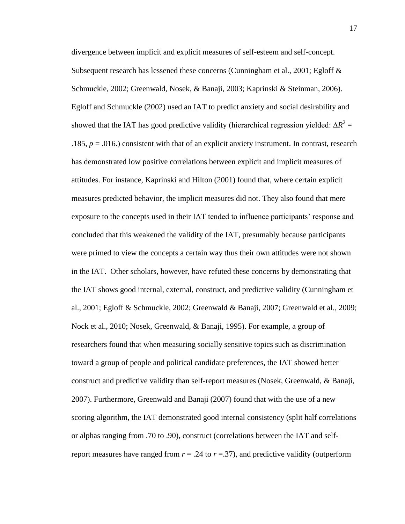divergence between implicit and explicit measures of self-esteem and self-concept. Subsequent research has lessened these concerns (Cunningham et al., 2001; Egloff & Schmuckle, 2002; Greenwald, Nosek, & Banaji, 2003; Kaprinski & Steinman, 2006). Egloff and Schmuckle (2002) used an IAT to predict anxiety and social desirability and showed that the IAT has good predictive validity (hierarchical regression yielded:  $\Delta R^2 =$ .185,  $p = .016$ .) consistent with that of an explicit anxiety instrument. In contrast, research has demonstrated low positive correlations between explicit and implicit measures of attitudes. For instance, Kaprinski and Hilton (2001) found that, where certain explicit measures predicted behavior, the implicit measures did not. They also found that mere exposure to the concepts used in their IAT tended to influence participants' response and concluded that this weakened the validity of the IAT, presumably because participants were primed to view the concepts a certain way thus their own attitudes were not shown in the IAT. Other scholars, however, have refuted these concerns by demonstrating that the IAT shows good internal, external, construct, and predictive validity (Cunningham et al., 2001; Egloff & Schmuckle, 2002; Greenwald & Banaji, 2007; Greenwald et al., 2009; Nock et al., 2010; Nosek, Greenwald, & Banaji, 1995). For example, a group of researchers found that when measuring socially sensitive topics such as discrimination toward a group of people and political candidate preferences, the IAT showed better construct and predictive validity than self-report measures (Nosek, Greenwald, & Banaji, 2007). Furthermore, Greenwald and Banaji (2007) found that with the use of a new scoring algorithm, the IAT demonstrated good internal consistency (split half correlations or alphas ranging from .70 to .90), construct (correlations between the IAT and selfreport measures have ranged from  $r = .24$  to  $r = .37$ ), and predictive validity (outperform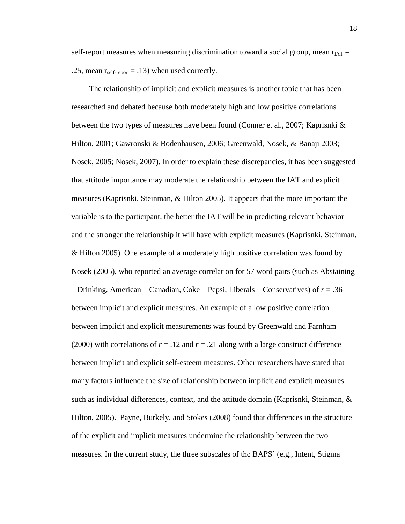self-report measures when measuring discrimination toward a social group, mean  $r_{IAT}$  = .25, mean  $r_{self-report} = .13$ ) when used correctly.

The relationship of implicit and explicit measures is another topic that has been researched and debated because both moderately high and low positive correlations between the two types of measures have been found (Conner et al., 2007; Kaprisnki & Hilton, 2001; Gawronski & Bodenhausen, 2006; Greenwald, Nosek, & Banaji 2003; Nosek, 2005; Nosek, 2007). In order to explain these discrepancies, it has been suggested that attitude importance may moderate the relationship between the IAT and explicit measures (Kaprisnki, Steinman, & Hilton 2005). It appears that the more important the variable is to the participant, the better the IAT will be in predicting relevant behavior and the stronger the relationship it will have with explicit measures (Kaprisnki, Steinman, & Hilton 2005). One example of a moderately high positive correlation was found by Nosek (2005), who reported an average correlation for 57 word pairs (such as Abstaining – Drinking, American – Canadian, Coke – Pepsi, Liberals – Conservatives) of *r* = .36 between implicit and explicit measures. An example of a low positive correlation between implicit and explicit measurements was found by Greenwald and Farnham (2000) with correlations of  $r = .12$  and  $r = .21$  along with a large construct difference between implicit and explicit self-esteem measures. Other researchers have stated that many factors influence the size of relationship between implicit and explicit measures such as individual differences, context, and the attitude domain (Kaprisnki, Steinman,  $\&$ Hilton, 2005). Payne, Burkely, and Stokes (2008) found that differences in the structure of the explicit and implicit measures undermine the relationship between the two measures. In the current study, the three subscales of the BAPS' (e.g., Intent, Stigma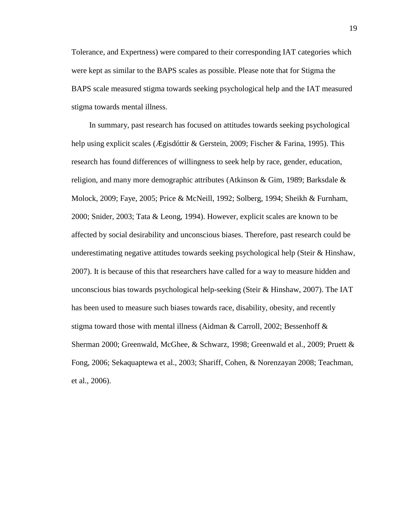Tolerance, and Expertness) were compared to their corresponding IAT categories which were kept as similar to the BAPS scales as possible. Please note that for Stigma the BAPS scale measured stigma towards seeking psychological help and the IAT measured stigma towards mental illness.

In summary, past research has focused on attitudes towards seeking psychological help using explicit scales (Ægisdóttir & Gerstein, 2009; Fischer & Farina, 1995). This research has found differences of willingness to seek help by race, gender, education, religion, and many more demographic attributes (Atkinson & Gim, 1989; Barksdale & Molock, 2009; Faye, 2005; Price & McNeill, 1992; Solberg, 1994; Sheikh & Furnham, 2000; Snider, 2003; Tata & Leong, 1994). However, explicit scales are known to be affected by social desirability and unconscious biases. Therefore, past research could be underestimating negative attitudes towards seeking psychological help (Steir & Hinshaw, 2007). It is because of this that researchers have called for a way to measure hidden and unconscious bias towards psychological help-seeking (Steir & Hinshaw, 2007). The IAT has been used to measure such biases towards race, disability, obesity, and recently stigma toward those with mental illness (Aidman & Carroll, 2002; Bessenhoff  $\&$ Sherman 2000; Greenwald, McGhee, & Schwarz, 1998; Greenwald et al., 2009; Pruett & Fong, 2006; Sekaquaptewa et al., 2003; Shariff, Cohen, & Norenzayan 2008; Teachman, et al., 2006).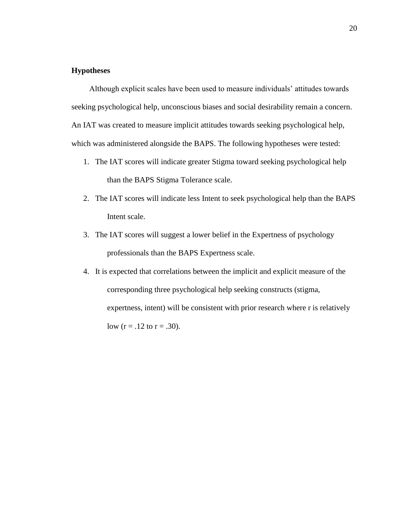## **Hypotheses**

Although explicit scales have been used to measure individuals' attitudes towards seeking psychological help, unconscious biases and social desirability remain a concern. An IAT was created to measure implicit attitudes towards seeking psychological help, which was administered alongside the BAPS. The following hypotheses were tested:

- 1. The IAT scores will indicate greater Stigma toward seeking psychological help than the BAPS Stigma Tolerance scale.
- 2. The IAT scores will indicate less Intent to seek psychological help than the BAPS Intent scale.
- 3. The IAT scores will suggest a lower belief in the Expertness of psychology professionals than the BAPS Expertness scale.
- 4. It is expected that correlations between the implicit and explicit measure of the corresponding three psychological help seeking constructs (stigma, expertness, intent) will be consistent with prior research where r is relatively low  $(r = .12$  to  $r = .30$ ).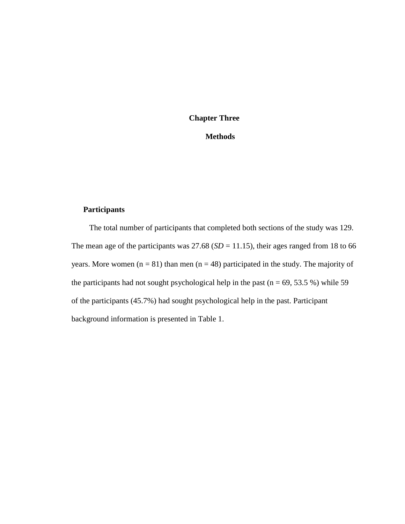## **Chapter Three**

## **Methods**

## **Participants**

The total number of participants that completed both sections of the study was 129. The mean age of the participants was  $27.68$  ( $SD = 11.15$ ), their ages ranged from 18 to 66 years. More women  $(n = 81)$  than men  $(n = 48)$  participated in the study. The majority of the participants had not sought psychological help in the past ( $n = 69, 53.5\%$ ) while 59 of the participants (45.7%) had sought psychological help in the past. Participant background information is presented in Table 1.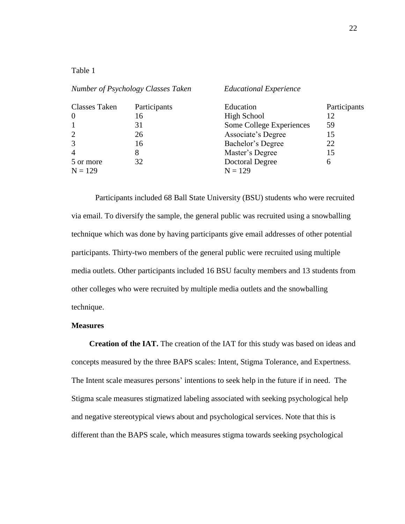| anie |  |
|------|--|
|------|--|

| Number of Psychology Classes Taken |              | <b>Educational Experience</b> |              |  |  |
|------------------------------------|--------------|-------------------------------|--------------|--|--|
| <b>Classes Taken</b>               | Participants | Education                     | Participants |  |  |
| $\overline{0}$                     | 16           | High School                   | 12           |  |  |
|                                    | 31           | Some College Experiences      | 59           |  |  |
| $\overline{2}$                     | 26           | Associate's Degree            | 15           |  |  |
| $\overline{3}$                     | 16           | Bachelor's Degree             | 22           |  |  |
| $\overline{4}$                     | 8            | Master's Degree               | 15           |  |  |
| 5 or more                          | 32           | Doctoral Degree               | 6            |  |  |
| $N = 129$                          |              | $N = 129$                     |              |  |  |

Participants included 68 Ball State University (BSU) students who were recruited via email. To diversify the sample, the general public was recruited using a snowballing technique which was done by having participants give email addresses of other potential participants. Thirty-two members of the general public were recruited using multiple media outlets. Other participants included 16 BSU faculty members and 13 students from other colleges who were recruited by multiple media outlets and the snowballing technique.

### **Measures**

**Creation of the IAT.** The creation of the IAT for this study was based on ideas and concepts measured by the three BAPS scales: Intent, Stigma Tolerance, and Expertness. The Intent scale measures persons' intentions to seek help in the future if in need. The Stigma scale measures stigmatized labeling associated with seeking psychological help and negative stereotypical views about and psychological services. Note that this is different than the BAPS scale, which measures stigma towards seeking psychological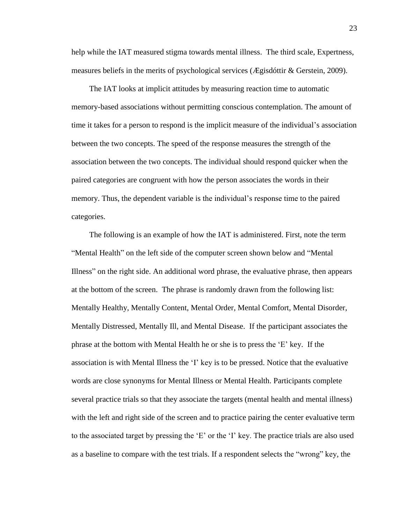help while the IAT measured stigma towards mental illness. The third scale, Expertness, measures beliefs in the merits of psychological services (Ægisdóttir & Gerstein, 2009).

The IAT looks at implicit attitudes by measuring reaction time to automatic memory-based associations without permitting conscious contemplation. The amount of time it takes for a person to respond is the implicit measure of the individual's association between the two concepts. The speed of the response measures the strength of the association between the two concepts. The individual should respond quicker when the paired categories are congruent with how the person associates the words in their memory. Thus, the dependent variable is the individual's response time to the paired categories.

The following is an example of how the IAT is administered. First, note the term "Mental Health" on the left side of the computer screen shown below and "Mental Illness" on the right side. An additional word phrase, the evaluative phrase, then appears at the bottom of the screen. The phrase is randomly drawn from the following list: Mentally Healthy, Mentally Content, Mental Order, Mental Comfort, Mental Disorder, Mentally Distressed, Mentally Ill, and Mental Disease. If the participant associates the phrase at the bottom with Mental Health he or she is to press the 'E' key. If the association is with Mental Illness the 'I' key is to be pressed. Notice that the evaluative words are close synonyms for Mental Illness or Mental Health. Participants complete several practice trials so that they associate the targets (mental health and mental illness) with the left and right side of the screen and to practice pairing the center evaluative term to the associated target by pressing the 'E' or the 'I' key. The practice trials are also used as a baseline to compare with the test trials. If a respondent selects the "wrong" key, the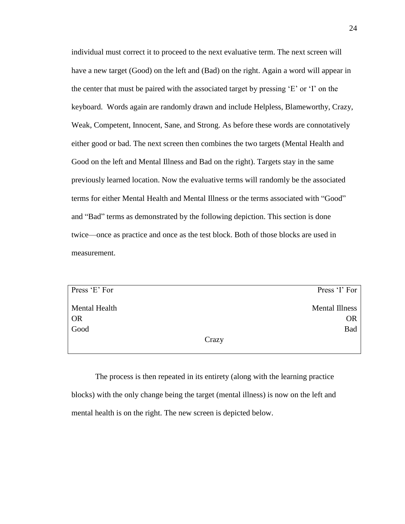individual must correct it to proceed to the next evaluative term. The next screen will have a new target (Good) on the left and (Bad) on the right. Again a word will appear in the center that must be paired with the associated target by pressing 'E' or 'I' on the keyboard. Words again are randomly drawn and include Helpless, Blameworthy, Crazy, Weak, Competent, Innocent, Sane, and Strong. As before these words are connotatively either good or bad. The next screen then combines the two targets (Mental Health and Good on the left and Mental Illness and Bad on the right). Targets stay in the same previously learned location. Now the evaluative terms will randomly be the associated terms for either Mental Health and Mental Illness or the terms associated with "Good" and "Bad" terms as demonstrated by the following depiction. This section is done twice—once as practice and once as the test block. Both of those blocks are used in measurement.

| Press 'E' For        | Press 'I' For         |
|----------------------|-----------------------|
| <b>Mental Health</b> | <b>Mental Illness</b> |
| <b>OR</b>            | <b>OR</b>             |
| Good                 | <b>Bad</b>            |
|                      | Crazy                 |

The process is then repeated in its entirety (along with the learning practice blocks) with the only change being the target (mental illness) is now on the left and mental health is on the right. The new screen is depicted below.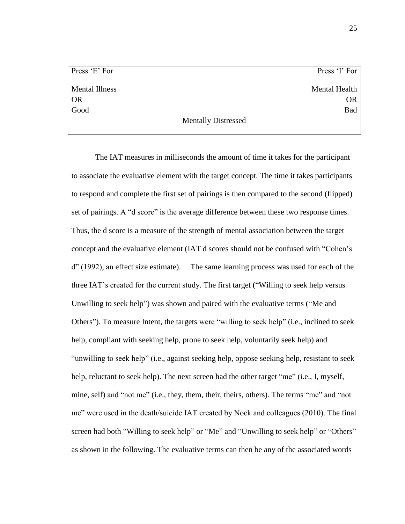Press 'E' For Mental Illness OR Good

Press 'I' For Mental Health OR Bad

Mentally Distressed

The IAT measures in milliseconds the amount of time it takes for the participant to associate the evaluative element with the target concept. The time it takes participants to respond and complete the first set of pairings is then compared to the second (flipped) set of pairings. A "d score" is the average difference between these two response times. Thus, the d score is a measure of the strength of mental association between the target concept and the evaluative element (IAT d scores should not be confused with "Cohen's d" (1992), an effect size estimate). The same learning process was used for each of the three IAT's created for the current study. The first target ("Willing to seek help versus Unwilling to seek help") was shown and paired with the evaluative terms ("Me and Others"). To measure Intent, the targets were "willing to seek help" (i.e., inclined to seek help, compliant with seeking help, prone to seek help, voluntarily seek help) and "unwilling to seek help" (i.e., against seeking help, oppose seeking help, resistant to seek help, reluctant to seek help). The next screen had the other target "me" (i.e., I, myself, mine, self) and "not me" (i.e., they, them, their, theirs, others). The terms "me" and "not me" were used in the death/suicide IAT created by Nock and colleagues (2010). The final screen had both "Willing to seek help" or "Me" and "Unwilling to seek help" or "Others" as shown in the following. The evaluative terms can then be any of the associated words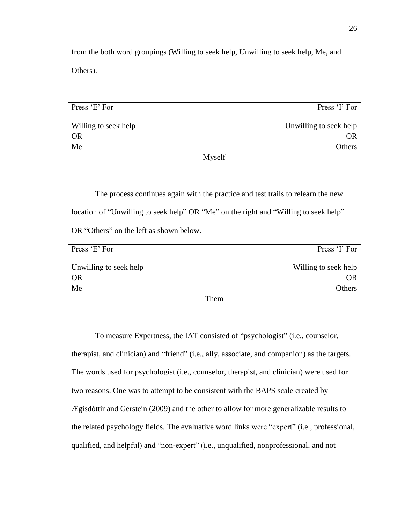from the both word groupings (Willing to seek help, Unwilling to seek help, Me, and Others).

Press 'E' For Willing to seek help OR Me Press 'I' For Unwilling to seek help OR **Others** Myself

The process continues again with the practice and test trails to relearn the new location of "Unwilling to seek help" OR "Me" on the right and "Willing to seek help" OR "Others" on the left as shown below.

| Press 'E' For          | Press 'I' For        |
|------------------------|----------------------|
| Unwilling to seek help | Willing to seek help |
| <b>OR</b>              | <b>OR</b>            |
| Me                     | Others               |
|                        | Them                 |

To measure Expertness, the IAT consisted of "psychologist" (i.e., counselor, therapist, and clinician) and "friend" (i.e., ally, associate, and companion) as the targets. The words used for psychologist (i.e., counselor, therapist, and clinician) were used for two reasons. One was to attempt to be consistent with the BAPS scale created by Ægisdóttir and Gerstein (2009) and the other to allow for more generalizable results to the related psychology fields. The evaluative word links were "expert" (i.e., professional, qualified, and helpful) and "non-expert" (i.e., unqualified, nonprofessional, and not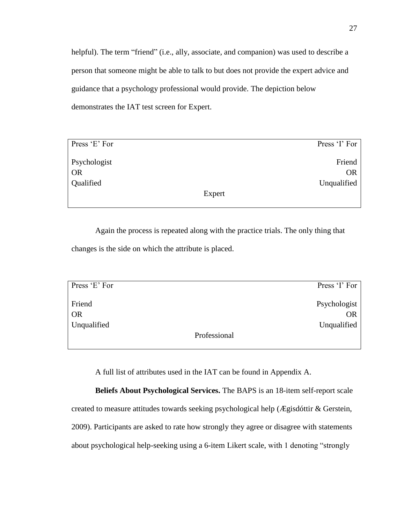helpful). The term "friend" (i.e., ally, associate, and companion) was used to describe a person that someone might be able to talk to but does not provide the expert advice and guidance that a psychology professional would provide. The depiction below demonstrates the IAT test screen for Expert.

| Press 'I' For |
|---------------|
| Friend        |
| <b>OR</b>     |
| Unqualified   |
| Expert        |
|               |

Again the process is repeated along with the practice trials. The only thing that changes is the side on which the attribute is placed.

| Press 'E' For | Press 'I' For |
|---------------|---------------|
| Friend        | Psychologist  |
| <b>OR</b>     | <b>OR</b>     |
| Unqualified   | Unqualified   |
|               | Professional  |

A full list of attributes used in the IAT can be found in Appendix A.

**Beliefs About Psychological Services.** The BAPS is an 18-item self-report scale created to measure attitudes towards seeking psychological help (Ægisdóttir & Gerstein, 2009). Participants are asked to rate how strongly they agree or disagree with statements about psychological help-seeking using a 6-item Likert scale, with 1 denoting "strongly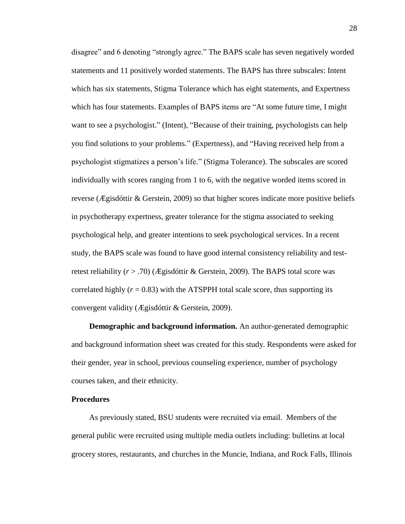disagree" and 6 denoting "strongly agree." The BAPS scale has seven negatively worded statements and 11 positively worded statements. The BAPS has three subscales: Intent which has six statements, Stigma Tolerance which has eight statements, and Expertness which has four statements. Examples of BAPS items are "At some future time, I might want to see a psychologist." (Intent), "Because of their training, psychologists can help you find solutions to your problems." (Expertness), and "Having received help from a psychologist stigmatizes a person's life." (Stigma Tolerance). The subscales are scored individually with scores ranging from 1 to 6, with the negative worded items scored in reverse (Ægisdóttir & Gerstein, 2009) so that higher scores indicate more positive beliefs in psychotherapy expertness, greater tolerance for the stigma associated to seeking psychological help, and greater intentions to seek psychological services. In a recent study, the BAPS scale was found to have good internal consistency reliability and testretest reliability (*r* > .70) (Ægisdóttir & Gerstein, 2009). The BAPS total score was correlated highly  $(r = 0.83)$  with the ATSPPH total scale score, thus supporting its convergent validity (Ægisdóttir & Gerstein, 2009).

**Demographic and background information.** An author-generated demographic and background information sheet was created for this study. Respondents were asked for their gender, year in school, previous counseling experience, number of psychology courses taken, and their ethnicity.

#### **Procedures**

As previously stated, BSU students were recruited via email. Members of the general public were recruited using multiple media outlets including: bulletins at local grocery stores, restaurants, and churches in the Muncie, Indiana, and Rock Falls, Illinois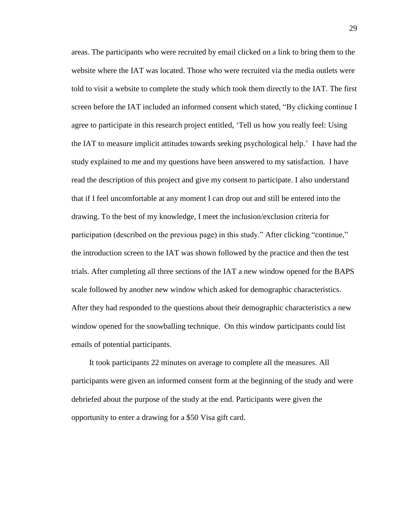areas. The participants who were recruited by email clicked on a link to bring them to the website where the IAT was located. Those who were recruited via the media outlets were told to visit a website to complete the study which took them directly to the IAT. The first screen before the IAT included an informed consent which stated, "By clicking continue I agree to participate in this research project entitled, 'Tell us how you really feel: Using the IAT to measure implicit attitudes towards seeking psychological help.' I have had the study explained to me and my questions have been answered to my satisfaction. I have read the description of this project and give my consent to participate. I also understand that if I feel uncomfortable at any moment I can drop out and still be entered into the drawing. To the best of my knowledge, I meet the inclusion/exclusion criteria for participation (described on the previous page) in this study." After clicking "continue," the introduction screen to the IAT was shown followed by the practice and then the test trials. After completing all three sections of the IAT a new window opened for the BAPS scale followed by another new window which asked for demographic characteristics. After they had responded to the questions about their demographic characteristics a new window opened for the snowballing technique. On this window participants could list emails of potential participants.

It took participants 22 minutes on average to complete all the measures. All participants were given an informed consent form at the beginning of the study and were debriefed about the purpose of the study at the end. Participants were given the opportunity to enter a drawing for a \$50 Visa gift card.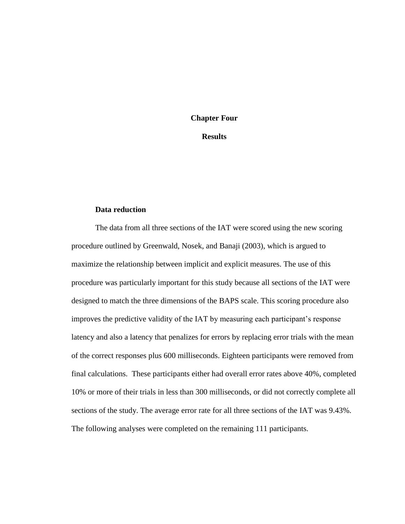#### **Chapter Four**

**Results**

#### **Data reduction**

The data from all three sections of the IAT were scored using the new scoring procedure outlined by Greenwald, Nosek, and Banaji (2003), which is argued to maximize the relationship between implicit and explicit measures. The use of this procedure was particularly important for this study because all sections of the IAT were designed to match the three dimensions of the BAPS scale. This scoring procedure also improves the predictive validity of the IAT by measuring each participant's response latency and also a latency that penalizes for errors by replacing error trials with the mean of the correct responses plus 600 milliseconds. Eighteen participants were removed from final calculations. These participants either had overall error rates above 40%, completed 10% or more of their trials in less than 300 milliseconds, or did not correctly complete all sections of the study. The average error rate for all three sections of the IAT was 9.43%. The following analyses were completed on the remaining 111 participants.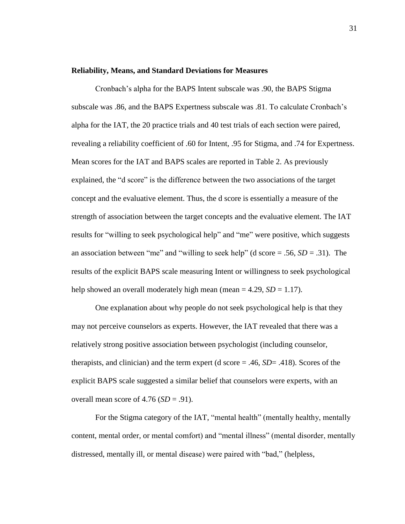#### **Reliability, Means, and Standard Deviations for Measures**

Cronbach's alpha for the BAPS Intent subscale was .90, the BAPS Stigma subscale was .86, and the BAPS Expertness subscale was .81. To calculate Cronbach's alpha for the IAT, the 20 practice trials and 40 test trials of each section were paired, revealing a reliability coefficient of .60 for Intent, .95 for Stigma, and .74 for Expertness. Mean scores for the IAT and BAPS scales are reported in Table 2. As previously explained, the "d score" is the difference between the two associations of the target concept and the evaluative element. Thus, the d score is essentially a measure of the strength of association between the target concepts and the evaluative element. The IAT results for "willing to seek psychological help" and "me" were positive, which suggests an association between "me" and "willing to seek help" (d score  $= .56, SD = .31$ ). The results of the explicit BAPS scale measuring Intent or willingness to seek psychological help showed an overall moderately high mean (mean  $= 4.29$ ,  $SD = 1.17$ ).

One explanation about why people do not seek psychological help is that they may not perceive counselors as experts. However, the IAT revealed that there was a relatively strong positive association between psychologist (including counselor, therapists, and clinician) and the term expert (d score = .46, *SD*= .418). Scores of the explicit BAPS scale suggested a similar belief that counselors were experts, with an overall mean score of  $4.76$  (*SD* = .91).

For the Stigma category of the IAT, "mental health" (mentally healthy, mentally content, mental order, or mental comfort) and "mental illness" (mental disorder, mentally distressed, mentally ill, or mental disease) were paired with "bad," (helpless,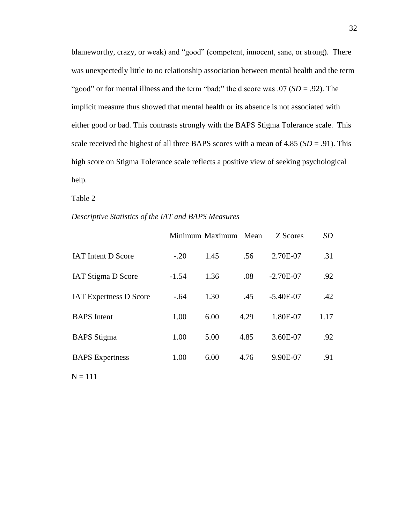blameworthy, crazy, or weak) and "good" (competent, innocent, sane, or strong). There was unexpectedly little to no relationship association between mental health and the term "good" or for mental illness and the term "bad;" the d score was .07 (*SD* = .92). The implicit measure thus showed that mental health or its absence is not associated with either good or bad. This contrasts strongly with the BAPS Stigma Tolerance scale. This scale received the highest of all three BAPS scores with a mean of  $4.85$  ( $SD = .91$ ). This high score on Stigma Tolerance scale reflects a positive view of seeking psychological help.

Table 2

#### *Descriptive Statistics of the IAT and BAPS Measures*

|         |      |      | Z Scores             | <i>SD</i> |
|---------|------|------|----------------------|-----------|
| $-.20$  | 1.45 | .56  | 2.70E-07             | .31       |
| $-1.54$ | 1.36 | .08  | $-2.70E-07$          | .92       |
| $-.64$  | 1.30 | .45  | $-5.40E-07$          | .42       |
| 1.00    | 6.00 | 4.29 | 1.80E-07             | 1.17      |
| 1.00    | 5.00 | 4.85 | 3.60E-07             | .92       |
| 1.00    | 6.00 | 4.76 | 9.90E-07             | .91       |
|         |      |      | Minimum Maximum Mean |           |

 $N = 111$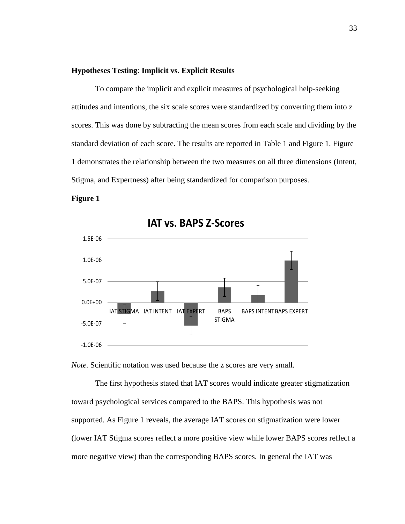#### **Hypotheses Testing**: **Implicit vs. Explicit Results**

To compare the implicit and explicit measures of psychological help-seeking attitudes and intentions, the six scale scores were standardized by converting them into z scores. This was done by subtracting the mean scores from each scale and dividing by the standard deviation of each score. The results are reported in Table 1 and Figure 1. Figure 1 demonstrates the relationship between the two measures on all three dimensions (Intent, Stigma, and Expertness) after being standardized for comparison purposes.

#### **Figure 1**



**IAT vs. BAPS Z-Scores** 

*Note.* Scientific notation was used because the z scores are very small.

The first hypothesis stated that IAT scores would indicate greater stigmatization toward psychological services compared to the BAPS. This hypothesis was not supported. As Figure 1 reveals, the average IAT scores on stigmatization were lower (lower IAT Stigma scores reflect a more positive view while lower BAPS scores reflect a more negative view) than the corresponding BAPS scores. In general the IAT was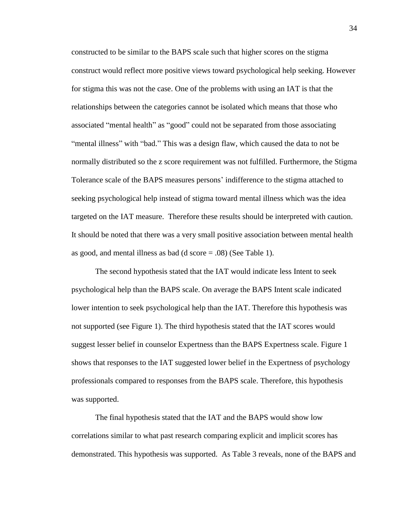constructed to be similar to the BAPS scale such that higher scores on the stigma construct would reflect more positive views toward psychological help seeking. However for stigma this was not the case. One of the problems with using an IAT is that the relationships between the categories cannot be isolated which means that those who associated "mental health" as "good" could not be separated from those associating "mental illness" with "bad." This was a design flaw, which caused the data to not be normally distributed so the z score requirement was not fulfilled. Furthermore, the Stigma Tolerance scale of the BAPS measures persons' indifference to the stigma attached to seeking psychological help instead of stigma toward mental illness which was the idea targeted on the IAT measure. Therefore these results should be interpreted with caution. It should be noted that there was a very small positive association between mental health as good, and mental illness as bad (d score = .08) (See Table 1).

The second hypothesis stated that the IAT would indicate less Intent to seek psychological help than the BAPS scale. On average the BAPS Intent scale indicated lower intention to seek psychological help than the IAT. Therefore this hypothesis was not supported (see Figure 1). The third hypothesis stated that the IAT scores would suggest lesser belief in counselor Expertness than the BAPS Expertness scale. Figure 1 shows that responses to the IAT suggested lower belief in the Expertness of psychology professionals compared to responses from the BAPS scale. Therefore, this hypothesis was supported.

The final hypothesis stated that the IAT and the BAPS would show low correlations similar to what past research comparing explicit and implicit scores has demonstrated. This hypothesis was supported. As Table 3 reveals, none of the BAPS and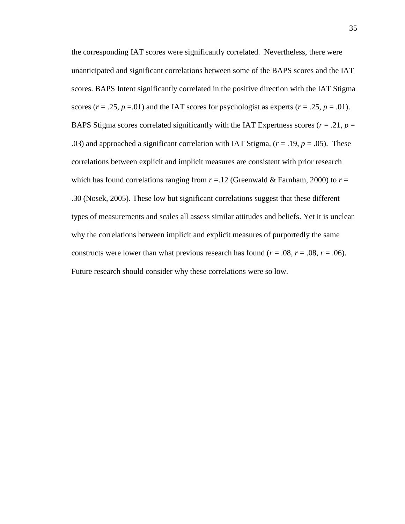the corresponding IAT scores were significantly correlated. Nevertheless, there were unanticipated and significant correlations between some of the BAPS scores and the IAT scores. BAPS Intent significantly correlated in the positive direction with the IAT Stigma scores  $(r = .25, p = .01)$  and the IAT scores for psychologist as experts  $(r = .25, p = .01)$ . BAPS Stigma scores correlated significantly with the IAT Expertness scores ( $r = .21$ ,  $p =$ .03) and approached a significant correlation with IAT Stigma,  $(r = .19, p = .05)$ . These correlations between explicit and implicit measures are consistent with prior research which has found correlations ranging from  $r = 12$  (Greenwald & Farnham, 2000) to  $r =$ .30 (Nosek, 2005). These low but significant correlations suggest that these different types of measurements and scales all assess similar attitudes and beliefs. Yet it is unclear why the correlations between implicit and explicit measures of purportedly the same constructs were lower than what previous research has found ( $r = .08$ ,  $r = .08$ ,  $r = .06$ ). Future research should consider why these correlations were so low.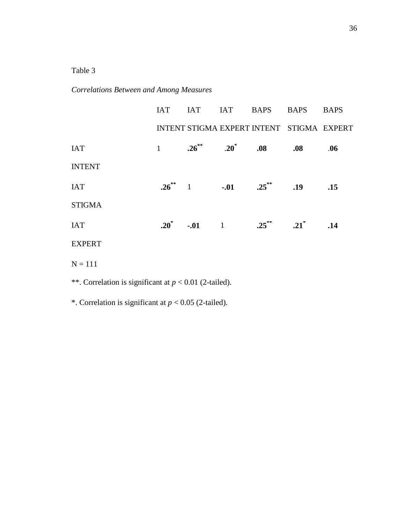## Table 3

## *Correlations Between and Among Measures*

|               |                                | IAT IAT IAT BAPS BAPS BAPS                |             |     |
|---------------|--------------------------------|-------------------------------------------|-------------|-----|
|               |                                | INTENT STIGMA EXPERT INTENT STIGMA EXPERT |             |     |
| <b>IAT</b>    |                                | 1 $.26^{**}$ $.20^{*}$ $.08$ $.08$        |             | .06 |
| <b>INTENT</b> |                                |                                           |             |     |
| <b>IAT</b>    | $.26^{**}$ 1 $-.01$ $.25^{**}$ |                                           | $.19$ $.15$ |     |
| <b>STIGMA</b> |                                |                                           |             |     |
| <b>IAT</b>    |                                | $.20^*$ $-.01$ 1 $.25^{**}$ $.21^*$       |             | .14 |
| <b>EXPERT</b> |                                |                                           |             |     |
| $N = 111$     |                                |                                           |             |     |

\*\*. Correlation is significant at *p* < 0.01 (2-tailed).

\*. Correlation is significant at *p* < 0.05 (2-tailed).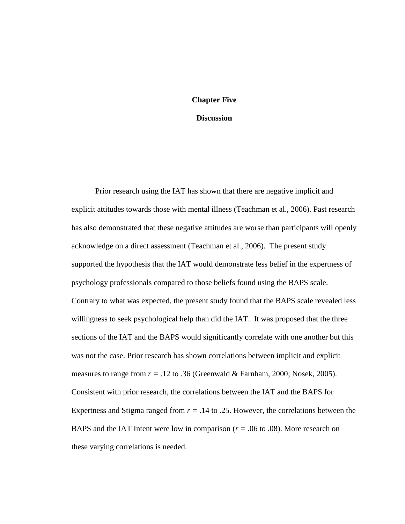#### **Chapter Five**

#### **Discussion**

Prior research using the IAT has shown that there are negative implicit and explicit attitudes towards those with mental illness (Teachman et al., 2006). Past research has also demonstrated that these negative attitudes are worse than participants will openly acknowledge on a direct assessment (Teachman et al., 2006). The present study supported the hypothesis that the IAT would demonstrate less belief in the expertness of psychology professionals compared to those beliefs found using the BAPS scale. Contrary to what was expected, the present study found that the BAPS scale revealed less willingness to seek psychological help than did the IAT. It was proposed that the three sections of the IAT and the BAPS would significantly correlate with one another but this was not the case. Prior research has shown correlations between implicit and explicit measures to range from *r =* .12 to .36 (Greenwald & Farnham, 2000; Nosek, 2005). Consistent with prior research, the correlations between the IAT and the BAPS for Expertness and Stigma ranged from *r =* .14 to .25. However, the correlations between the BAPS and the IAT Intent were low in comparison ( $r = .06$  to .08). More research on these varying correlations is needed.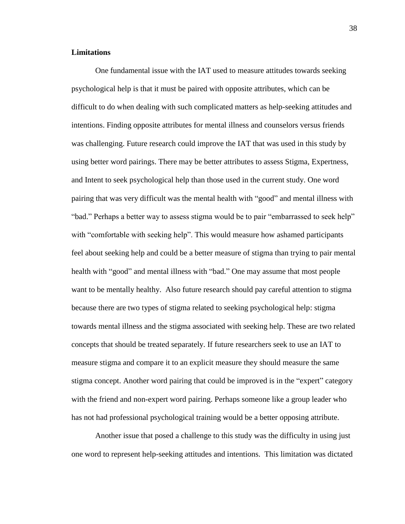#### **Limitations**

One fundamental issue with the IAT used to measure attitudes towards seeking psychological help is that it must be paired with opposite attributes, which can be difficult to do when dealing with such complicated matters as help-seeking attitudes and intentions. Finding opposite attributes for mental illness and counselors versus friends was challenging. Future research could improve the IAT that was used in this study by using better word pairings. There may be better attributes to assess Stigma, Expertness, and Intent to seek psychological help than those used in the current study. One word pairing that was very difficult was the mental health with "good" and mental illness with "bad." Perhaps a better way to assess stigma would be to pair "embarrassed to seek help" with "comfortable with seeking help". This would measure how ashamed participants feel about seeking help and could be a better measure of stigma than trying to pair mental health with "good" and mental illness with "bad." One may assume that most people want to be mentally healthy. Also future research should pay careful attention to stigma because there are two types of stigma related to seeking psychological help: stigma towards mental illness and the stigma associated with seeking help. These are two related concepts that should be treated separately. If future researchers seek to use an IAT to measure stigma and compare it to an explicit measure they should measure the same stigma concept. Another word pairing that could be improved is in the "expert" category with the friend and non-expert word pairing. Perhaps someone like a group leader who has not had professional psychological training would be a better opposing attribute.

Another issue that posed a challenge to this study was the difficulty in using just one word to represent help-seeking attitudes and intentions. This limitation was dictated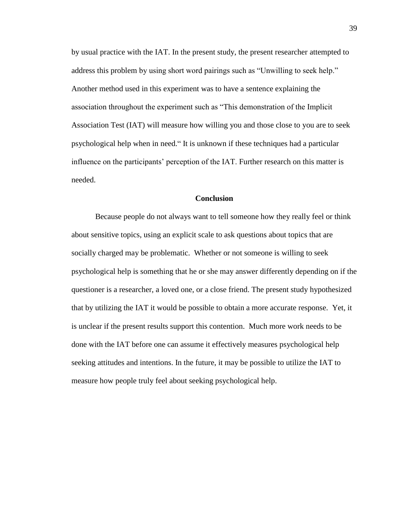by usual practice with the IAT. In the present study, the present researcher attempted to address this problem by using short word pairings such as "Unwilling to seek help." Another method used in this experiment was to have a sentence explaining the association throughout the experiment such as "This demonstration of the Implicit Association Test (IAT) will measure how willing you and those close to you are to seek psychological help when in need." It is unknown if these techniques had a particular influence on the participants' perception of the IAT. Further research on this matter is needed.

#### **Conclusion**

Because people do not always want to tell someone how they really feel or think about sensitive topics, using an explicit scale to ask questions about topics that are socially charged may be problematic. Whether or not someone is willing to seek psychological help is something that he or she may answer differently depending on if the questioner is a researcher, a loved one, or a close friend. The present study hypothesized that by utilizing the IAT it would be possible to obtain a more accurate response. Yet, it is unclear if the present results support this contention. Much more work needs to be done with the IAT before one can assume it effectively measures psychological help seeking attitudes and intentions. In the future, it may be possible to utilize the IAT to measure how people truly feel about seeking psychological help.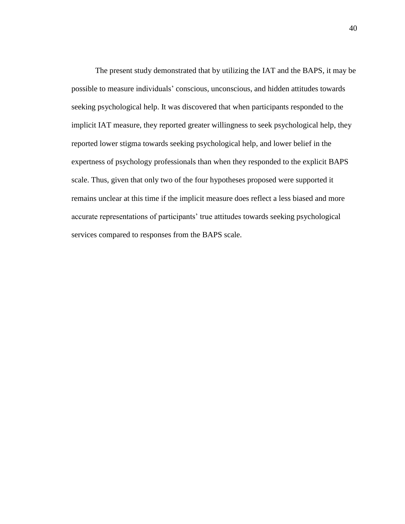The present study demonstrated that by utilizing the IAT and the BAPS, it may be possible to measure individuals' conscious, unconscious, and hidden attitudes towards seeking psychological help. It was discovered that when participants responded to the implicit IAT measure, they reported greater willingness to seek psychological help, they reported lower stigma towards seeking psychological help, and lower belief in the expertness of psychology professionals than when they responded to the explicit BAPS scale. Thus, given that only two of the four hypotheses proposed were supported it remains unclear at this time if the implicit measure does reflect a less biased and more accurate representations of participants' true attitudes towards seeking psychological services compared to responses from the BAPS scale.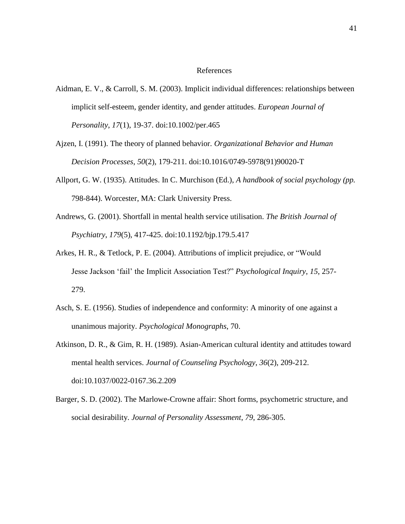#### References

- Aidman, E. V., & Carroll, S. M. (2003). Implicit individual differences: relationships between implicit self-esteem, gender identity, and gender attitudes. *European Journal of Personality*, *17*(1), 19-37. doi:10.1002/per.465
- Ajzen, I. (1991). The theory of planned behavior. *Organizational Behavior and Human Decision Processes*, *50*(2), 179-211. doi:10.1016/0749-5978(91)90020-T
- Allport, G. W. (1935). Attitudes. In C. Murchison (Ed.), *A handbook of social psychology (pp.*  798-844). Worcester, MA: Clark University Press.
- Andrews, G. (2001). Shortfall in mental health service utilisation. *The British Journal of Psychiatry*, *179*(5), 417-425. doi:10.1192/bjp.179.5.417
- Arkes, H. R., & Tetlock, P. E. (2004). Attributions of implicit prejudice, or "Would Jesse Jackson 'fail' the Implicit Association Test?" *Psychological Inquiry*, *15*, 257- 279.
- Asch, S. E. (1956). Studies of independence and conformity: A minority of one against a unanimous majority. *Psychological Monographs*, 70.
- Atkinson, D. R., & Gim, R. H. (1989). Asian-American cultural identity and attitudes toward mental health services. *Journal of Counseling Psychology*, *36*(2), 209-212. doi:10.1037/0022-0167.36.2.209
- Barger, S. D. (2002). The Marlowe-Crowne affair: Short forms, psychometric structure, and social desirability. *Journal of Personality Assessment*, *79*, 286-305.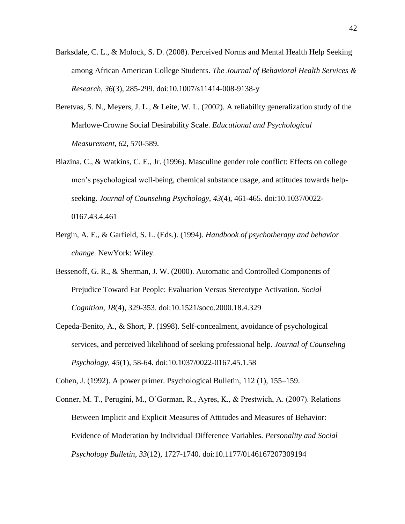- Barksdale, C. L., & Molock, S. D. (2008). Perceived Norms and Mental Health Help Seeking among African American College Students. *The Journal of Behavioral Health Services & Research*, *36*(3), 285-299. doi:10.1007/s11414-008-9138-y
- Beretvas, S. N., Meyers, J. L., & Leite, W. L. (2002). A reliability generalization study of the Marlowe-Crowne Social Desirability Scale. *Educational and Psychological Measurement, 62*, 570-589.
- Blazina, C., & Watkins, C. E., Jr. (1996). Masculine gender role conflict: Effects on college men's psychological well-being, chemical substance usage, and attitudes towards helpseeking. *Journal of Counseling Psychology*, *43*(4), 461-465. doi:10.1037/0022- 0167.43.4.461
- Bergin, A. E., & Garfield, S. L. (Eds.). (1994). *Handbook of psychotherapy and behavior change.* NewYork: Wiley.
- Bessenoff, G. R., & Sherman, J. W. (2000). Automatic and Controlled Components of Prejudice Toward Fat People: Evaluation Versus Stereotype Activation. *Social Cognition*, *18*(4), 329-353. doi:10.1521/soco.2000.18.4.329
- Cepeda-Benito, A., & Short, P. (1998). Self-concealment, avoidance of psychological services, and perceived likelihood of seeking professional help. *Journal of Counseling Psychology*, *45*(1), 58-64. doi:10.1037/0022-0167.45.1.58

Cohen, J. (1992). A power primer. Psychological Bulletin, 112 (1), 155–159.

Conner, M. T., Perugini, M., O'Gorman, R., Ayres, K., & Prestwich, A. (2007). Relations Between Implicit and Explicit Measures of Attitudes and Measures of Behavior: Evidence of Moderation by Individual Difference Variables. *Personality and Social Psychology Bulletin*, *33*(12), 1727-1740. doi:10.1177/0146167207309194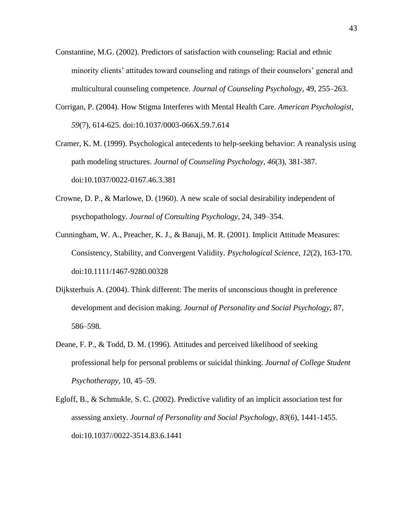- Constantine, M.G. (2002). Predictors of satisfaction with counseling: Racial and ethnic minority clients' attitudes toward counseling and ratings of their counselors' general and multicultural counseling competence. *Journal of Counseling Psychology,* 49, 255–263.
- Corrigan, P. (2004). How Stigma Interferes with Mental Health Care. *American Psychologist*, *59*(7), 614-625. doi:10.1037/0003-066X.59.7.614
- Cramer, K. M. (1999). Psychological antecedents to help-seeking behavior: A reanalysis using path modeling structures. *Journal of Counseling Psychology*, *46*(3), 381-387. doi:10.1037/0022-0167.46.3.381
- Crowne, D. P., & Marlowe, D. (1960). A new scale of social desirability independent of psychopathology. *Journal of Consulting Psychology*, 24, 349–354.
- Cunningham, W. A., Preacher, K. J., & Banaji, M. R. (2001). Implicit Attitude Measures: Consistency, Stability, and Convergent Validity. *Psychological Science*, *12*(2), 163-170. doi:10.1111/1467-9280.00328
- Dijksterhuis A. (2004). Think different: The merits of unconscious thought in preference development and decision making. *Journal of Personality and Social Psychology,* 87, 586–598.
- Deane, F. P., & Todd, D. M. (1996). Attitudes and perceived likelihood of seeking professional help for personal problems or suicidal thinking. *Journal of College Student Psychotherapy,* 10, 45–59.
- Egloff, B., & Schmukle, S. C. (2002). Predictive validity of an implicit association test for assessing anxiety. *Journal of Personality and Social Psychology*, *83*(6), 1441-1455. doi:10.1037//0022-3514.83.6.1441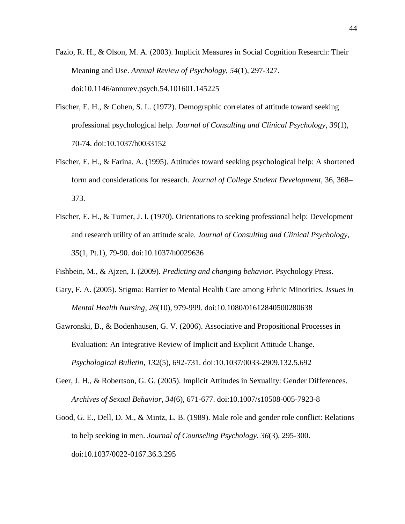- Fazio, R. H., & Olson, M. A. (2003). Implicit Measures in Social Cognition Research: Their Meaning and Use. *Annual Review of Psychology*, *54*(1), 297-327. doi:10.1146/annurev.psych.54.101601.145225
- Fischer, E. H., & Cohen, S. L. (1972). Demographic correlates of attitude toward seeking professional psychological help. *Journal of Consulting and Clinical Psychology*, *39*(1), 70-74. doi:10.1037/h0033152
- Fischer, E. H., & Farina, A. (1995). Attitudes toward seeking psychological help: A shortened form and considerations for research. *Journal of College Student Development,* 36, 368– 373.
- Fischer, E. H., & Turner, J. I. (1970). Orientations to seeking professional help: Development and research utility of an attitude scale. *Journal of Consulting and Clinical Psychology*, *35*(1, Pt.1), 79-90. doi:10.1037/h0029636
- Fishbein, M., & Ajzen, I. (2009). *Predicting and changing behavior*. Psychology Press.
- Gary, F. A. (2005). Stigma: Barrier to Mental Health Care among Ethnic Minorities. *Issues in Mental Health Nursing*, *26*(10), 979-999. doi:10.1080/01612840500280638
- Gawronski, B., & Bodenhausen, G. V. (2006). Associative and Propositional Processes in Evaluation: An Integrative Review of Implicit and Explicit Attitude Change. *Psychological Bulletin*, *132*(5), 692-731. doi:10.1037/0033-2909.132.5.692
- Geer, J. H., & Robertson, G. G. (2005). Implicit Attitudes in Sexuality: Gender Differences. *Archives of Sexual Behavior*, *34*(6), 671-677. doi:10.1007/s10508-005-7923-8
- Good, G. E., Dell, D. M., & Mintz, L. B. (1989). Male role and gender role conflict: Relations to help seeking in men. *Journal of Counseling Psychology*, *36*(3), 295-300. doi:10.1037/0022-0167.36.3.295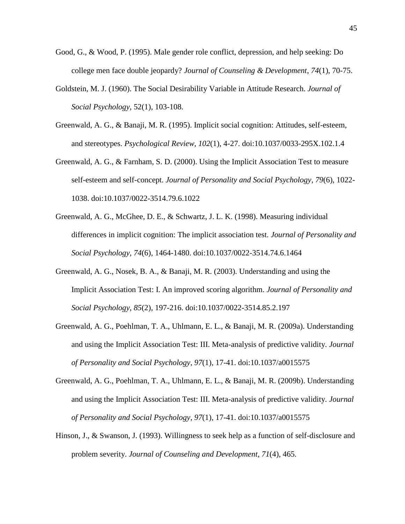- Good, G., & Wood, P. (1995). Male gender role conflict, depression, and help seeking: Do college men face double jeopardy? *Journal of Counseling & Development*, *74*(1), 70-75.
- Goldstein, M. J. (1960). The Social Desirability Variable in Attitude Research. *Journal of Social Psychology,* 52(1), 103-108.
- Greenwald, A. G., & Banaji, M. R. (1995). Implicit social cognition: Attitudes, self-esteem, and stereotypes. *Psychological Review*, *102*(1), 4-27. doi:10.1037/0033-295X.102.1.4
- Greenwald, A. G., & Farnham, S. D. (2000). Using the Implicit Association Test to measure self-esteem and self-concept. *Journal of Personality and Social Psychology*, *79*(6), 1022- 1038. doi:10.1037/0022-3514.79.6.1022
- Greenwald, A. G., McGhee, D. E., & Schwartz, J. L. K. (1998). Measuring individual differences in implicit cognition: The implicit association test. *Journal of Personality and Social Psychology*, *74*(6), 1464-1480. doi:10.1037/0022-3514.74.6.1464
- Greenwald, A. G., Nosek, B. A., & Banaji, M. R. (2003). Understanding and using the Implicit Association Test: I. An improved scoring algorithm. *Journal of Personality and Social Psychology*, *85*(2), 197-216. doi:10.1037/0022-3514.85.2.197
- Greenwald, A. G., Poehlman, T. A., Uhlmann, E. L., & Banaji, M. R. (2009a). Understanding and using the Implicit Association Test: III. Meta-analysis of predictive validity. *Journal of Personality and Social Psychology*, *97*(1), 17-41. doi:10.1037/a0015575
- Greenwald, A. G., Poehlman, T. A., Uhlmann, E. L., & Banaji, M. R. (2009b). Understanding and using the Implicit Association Test: III. Meta-analysis of predictive validity. *Journal of Personality and Social Psychology*, *97*(1), 17-41. doi:10.1037/a0015575
- Hinson, J., & Swanson, J. (1993). Willingness to seek help as a function of self-disclosure and problem severity. *Journal of Counseling and Development*, *71*(4), 465.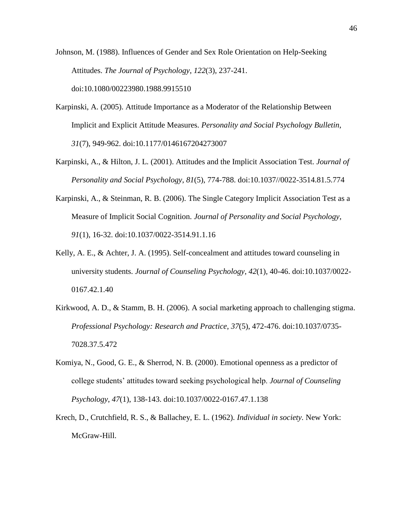Johnson, M. (1988). Influences of Gender and Sex Role Orientation on Help-Seeking Attitudes. *The Journal of Psychology*, *122*(3), 237-241. doi:10.1080/00223980.1988.9915510

- Karpinski, A. (2005). Attitude Importance as a Moderator of the Relationship Between Implicit and Explicit Attitude Measures. *Personality and Social Psychology Bulletin*, *31*(7), 949-962. doi:10.1177/0146167204273007
- Karpinski, A., & Hilton, J. L. (2001). Attitudes and the Implicit Association Test. *Journal of Personality and Social Psychology*, *81*(5), 774-788. doi:10.1037//0022-3514.81.5.774
- Karpinski, A., & Steinman, R. B. (2006). The Single Category Implicit Association Test as a Measure of Implicit Social Cognition. *Journal of Personality and Social Psychology*, *91*(1), 16-32. doi:10.1037/0022-3514.91.1.16
- Kelly, A. E., & Achter, J. A. (1995). Self-concealment and attitudes toward counseling in university students. *Journal of Counseling Psychology*, *42*(1), 40-46. doi:10.1037/0022- 0167.42.1.40
- Kirkwood, A. D., & Stamm, B. H. (2006). A social marketing approach to challenging stigma. *Professional Psychology: Research and Practice*, *37*(5), 472-476. doi:10.1037/0735- 7028.37.5.472
- Komiya, N., Good, G. E., & Sherrod, N. B. (2000). Emotional openness as a predictor of college students' attitudes toward seeking psychological help. *Journal of Counseling Psychology*, *47*(1), 138-143. doi:10.1037/0022-0167.47.1.138
- Krech, D., Crutchfield, R. S., & Ballachey, E. L. (1962). *Individual in society.* New York: McGraw-Hill.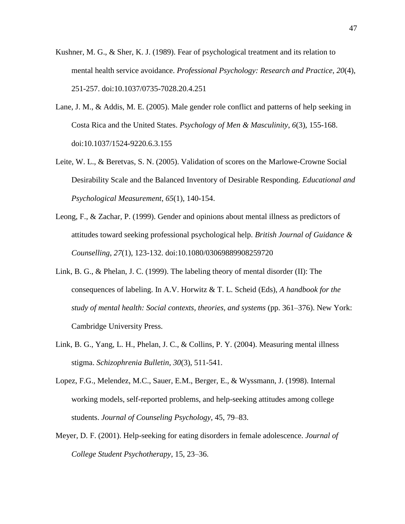- Kushner, M. G., & Sher, K. J. (1989). Fear of psychological treatment and its relation to mental health service avoidance. *Professional Psychology: Research and Practice*, *20*(4), 251-257. doi:10.1037/0735-7028.20.4.251
- Lane, J. M., & Addis, M. E. (2005). Male gender role conflict and patterns of help seeking in Costa Rica and the United States. *Psychology of Men & Masculinity*, *6*(3), 155-168. doi:10.1037/1524-9220.6.3.155
- Leite, W. L., & Beretvas, S. N. (2005). Validation of scores on the Marlowe-Crowne Social Desirability Scale and the Balanced Inventory of Desirable Responding. *Educational and Psychological Measurement*, *65*(1), 140-154.
- Leong, F., & Zachar, P. (1999). Gender and opinions about mental illness as predictors of attitudes toward seeking professional psychological help. *British Journal of Guidance & Counselling*, *27*(1), 123-132. doi:10.1080/03069889908259720
- Link, B. G., & Phelan, J. C. (1999). The labeling theory of mental disorder (II): The consequences of labeling. In A.V. Horwitz & T. L. Scheid (Eds), *A handbook for the study of mental health: Social contexts, theories, and systems* (pp. 361–376). New York: Cambridge University Press.
- Link, B. G., Yang, L. H., Phelan, J. C., & Collins, P. Y. (2004). Measuring mental illness stigma. *Schizophrenia Bulletin*, *30*(3), 511-541.
- Lopez, F.G., Melendez, M.C., Sauer, E.M., Berger, E., & Wyssmann, J. (1998). Internal working models, self-reported problems, and help-seeking attitudes among college students. *Journal of Counseling Psychology,* 45, 79–83.
- Meyer, D. F. (2001). Help-seeking for eating disorders in female adolescence. *Journal of College Student Psychotherapy,* 15, 23–36.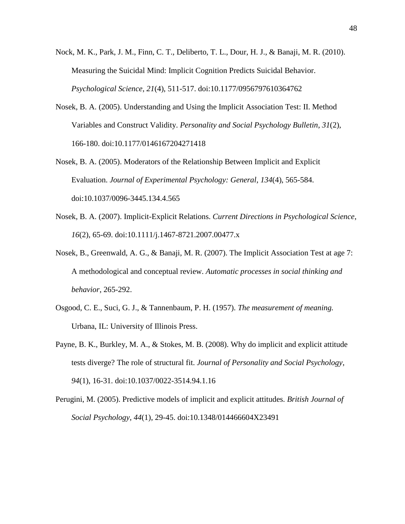- Nock, M. K., Park, J. M., Finn, C. T., Deliberto, T. L., Dour, H. J., & Banaji, M. R. (2010). Measuring the Suicidal Mind: Implicit Cognition Predicts Suicidal Behavior. *Psychological Science*, *21*(4), 511-517. doi:10.1177/0956797610364762
- Nosek, B. A. (2005). Understanding and Using the Implicit Association Test: II. Method Variables and Construct Validity. *Personality and Social Psychology Bulletin*, *31*(2), 166-180. doi:10.1177/0146167204271418
- Nosek, B. A. (2005). Moderators of the Relationship Between Implicit and Explicit Evaluation. *Journal of Experimental Psychology: General*, *134*(4), 565-584. doi:10.1037/0096-3445.134.4.565
- Nosek, B. A. (2007). Implicit-Explicit Relations. *Current Directions in Psychological Science*, *16*(2), 65-69. doi:10.1111/j.1467-8721.2007.00477.x
- Nosek, B., Greenwald, A. G., & Banaji, M. R. (2007). The Implicit Association Test at age 7: A methodological and conceptual review. *Automatic processes in social thinking and behavior*, 265-292.
- Osgood, C. E., Suci, G. J., & Tannenbaum, P. H. (1957). *The measurement of meaning.*  Urbana, IL: University of Illinois Press.
- Payne, B. K., Burkley, M. A., & Stokes, M. B. (2008). Why do implicit and explicit attitude tests diverge? The role of structural fit. *Journal of Personality and Social Psychology*, *94*(1), 16-31. doi:10.1037/0022-3514.94.1.16
- Perugini, M. (2005). Predictive models of implicit and explicit attitudes. *British Journal of Social Psychology*, *44*(1), 29-45. doi:10.1348/014466604X23491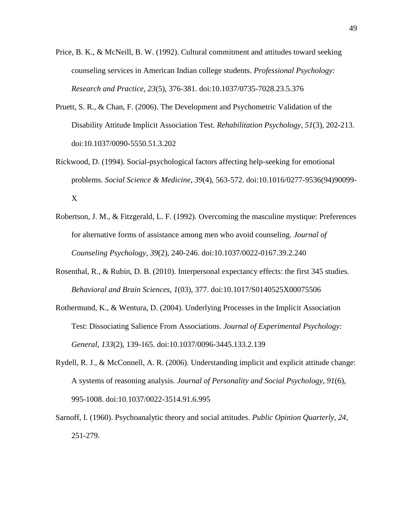- Price, B. K., & McNeill, B. W. (1992). Cultural commitment and attitudes toward seeking counseling services in American Indian college students. *Professional Psychology: Research and Practice*, *23*(5), 376-381. doi:10.1037/0735-7028.23.5.376
- Pruett, S. R., & Chan, F. (2006). The Development and Psychometric Validation of the Disability Attitude Implicit Association Test. *Rehabilitation Psychology*, *51*(3), 202-213. doi:10.1037/0090-5550.51.3.202
- Rickwood, D. (1994). Social-psychological factors affecting help-seeking for emotional problems. *Social Science & Medicine*, *39*(4), 563-572. doi:10.1016/0277-9536(94)90099- X
- Robertson, J. M., & Fitzgerald, L. F. (1992). Overcoming the masculine mystique: Preferences for alternative forms of assistance among men who avoid counseling. *Journal of Counseling Psychology*, *39*(2), 240-246. doi:10.1037/0022-0167.39.2.240
- Rosenthal, R., & Rubin, D. B. (2010). Interpersonal expectancy effects: the first 345 studies. *Behavioral and Brain Sciences*, *1*(03), 377. doi:10.1017/S0140525X00075506
- Rothermund, K., & Wentura, D. (2004). Underlying Processes in the Implicit Association Test: Dissociating Salience From Associations. *Journal of Experimental Psychology: General*, *133*(2), 139-165. doi:10.1037/0096-3445.133.2.139
- Rydell, R. J., & McConnell, A. R. (2006). Understanding implicit and explicit attitude change: A systems of reasoning analysis. *Journal of Personality and Social Psychology*, *91*(6), 995-1008. doi:10.1037/0022-3514.91.6.995
- Sarnoff, I. (1960). Psychoanalytic theory and social attitudes. *Public Opinion Quarterly, 24,*  251-279.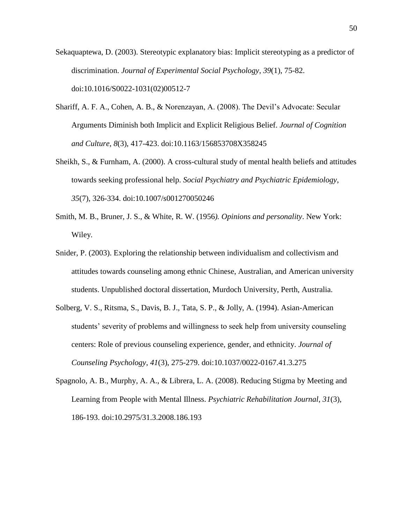- Sekaquaptewa, D. (2003). Stereotypic explanatory bias: Implicit stereotyping as a predictor of discrimination. *Journal of Experimental Social Psychology*, *39*(1), 75-82. doi:10.1016/S0022-1031(02)00512-7
- Shariff, A. F. A., Cohen, A. B., & Norenzayan, A. (2008). The Devil's Advocate: Secular Arguments Diminish both Implicit and Explicit Religious Belief. *Journal of Cognition and Culture*, *8*(3), 417-423. doi:10.1163/156853708X358245
- Sheikh, S., & Furnham, A. (2000). A cross-cultural study of mental health beliefs and attitudes towards seeking professional help. *Social Psychiatry and Psychiatric Epidemiology*, *35*(7), 326-334. doi:10.1007/s001270050246
- Smith, M. B., Bruner, J. S., & White, R. W. (1956*). Opinions and personality*. New York: Wiley.
- Snider, P. (2003). Exploring the relationship between individualism and collectivism and attitudes towards counseling among ethnic Chinese, Australian, and American university students. Unpublished doctoral dissertation, Murdoch University, Perth, Australia.
- Solberg, V. S., Ritsma, S., Davis, B. J., Tata, S. P., & Jolly, A. (1994). Asian-American students' severity of problems and willingness to seek help from university counseling centers: Role of previous counseling experience, gender, and ethnicity. *Journal of Counseling Psychology*, *41*(3), 275-279. doi:10.1037/0022-0167.41.3.275
- Spagnolo, A. B., Murphy, A. A., & Librera, L. A. (2008). Reducing Stigma by Meeting and Learning from People with Mental Illness. *Psychiatric Rehabilitation Journal*, *31*(3), 186-193. doi:10.2975/31.3.2008.186.193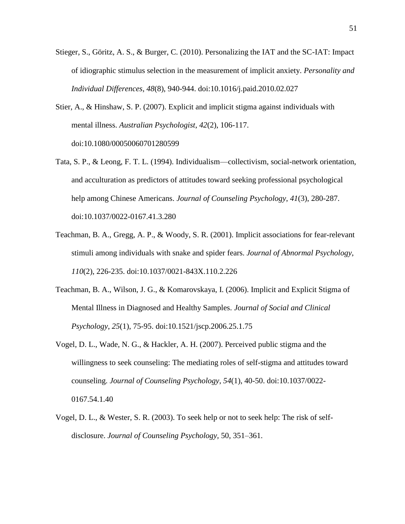- Stieger, S., Göritz, A. S., & Burger, C. (2010). Personalizing the IAT and the SC-IAT: Impact of idiographic stimulus selection in the measurement of implicit anxiety. *Personality and Individual Differences*, *48*(8), 940-944. doi:10.1016/j.paid.2010.02.027
- Stier, A., & Hinshaw, S. P. (2007). Explicit and implicit stigma against individuals with mental illness. *Australian Psychologist*, *42*(2), 106-117. doi:10.1080/00050060701280599
- Tata, S. P., & Leong, F. T. L. (1994). Individualism—collectivism, social-network orientation, and acculturation as predictors of attitudes toward seeking professional psychological help among Chinese Americans. *Journal of Counseling Psychology*, *41*(3), 280-287. doi:10.1037/0022-0167.41.3.280
- Teachman, B. A., Gregg, A. P., & Woody, S. R. (2001). Implicit associations for fear-relevant stimuli among individuals with snake and spider fears. *Journal of Abnormal Psychology*, *110*(2), 226-235. doi:10.1037/0021-843X.110.2.226
- Teachman, B. A., Wilson, J. G., & Komarovskaya, I. (2006). Implicit and Explicit Stigma of Mental Illness in Diagnosed and Healthy Samples. *Journal of Social and Clinical Psychology*, *25*(1), 75-95. doi:10.1521/jscp.2006.25.1.75
- Vogel, D. L., Wade, N. G., & Hackler, A. H. (2007). Perceived public stigma and the willingness to seek counseling: The mediating roles of self-stigma and attitudes toward counseling. *Journal of Counseling Psychology*, *54*(1), 40-50. doi:10.1037/0022- 0167.54.1.40
- Vogel, D. L., & Wester, S. R. (2003). To seek help or not to seek help: The risk of selfdisclosure. *Journal of Counseling Psychology,* 50, 351–361.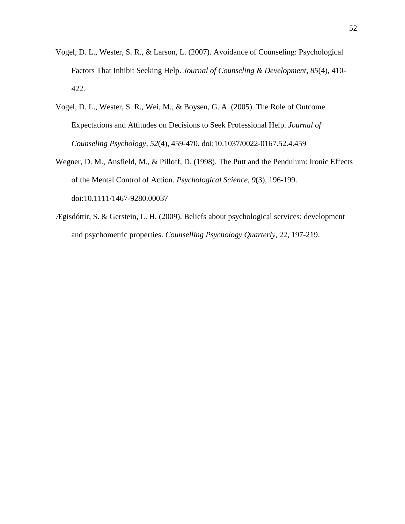- Vogel, D. L., Wester, S. R., & Larson, L. (2007). Avoidance of Counseling: Psychological Factors That Inhibit Seeking Help. *Journal of Counseling & Development*, *85*(4), 410- 422.
- Vogel, D. L., Wester, S. R., Wei, M., & Boysen, G. A. (2005). The Role of Outcome Expectations and Attitudes on Decisions to Seek Professional Help. *Journal of Counseling Psychology*, *52*(4), 459-470. doi:10.1037/0022-0167.52.4.459
- Wegner, D. M., Ansfield, M., & Pilloff, D. (1998). The Putt and the Pendulum: Ironic Effects of the Mental Control of Action. *Psychological Science*, *9*(3), 196-199. doi:10.1111/1467-9280.00037
- Ægisdóttir, S. & Gerstein, L. H. (2009). Beliefs about psychological services: development and psychometric properties. *Counselling Psychology Quarterly*, 22, 197-219.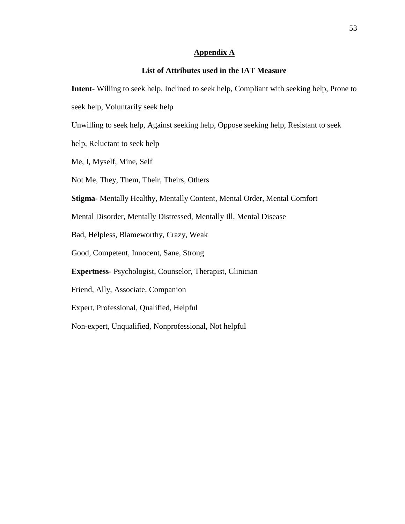#### **Appendix A**

## **List of Attributes used in the IAT Measure**

**Intent**- Willing to seek help, Inclined to seek help, Compliant with seeking help, Prone to

seek help, Voluntarily seek help

Unwilling to seek help, Against seeking help, Oppose seeking help, Resistant to seek

help, Reluctant to seek help

Me, I, Myself, Mine, Self

Not Me, They, Them, Their, Theirs, Others

**Stigma**- Mentally Healthy, Mentally Content, Mental Order, Mental Comfort

Mental Disorder, Mentally Distressed, Mentally Ill, Mental Disease

Bad, Helpless, Blameworthy, Crazy, Weak

Good, Competent, Innocent, Sane, Strong

**Expertness**- Psychologist, Counselor, Therapist, Clinician

Friend, Ally, Associate, Companion

Expert, Professional, Qualified, Helpful

Non-expert, Unqualified, Nonprofessional, Not helpful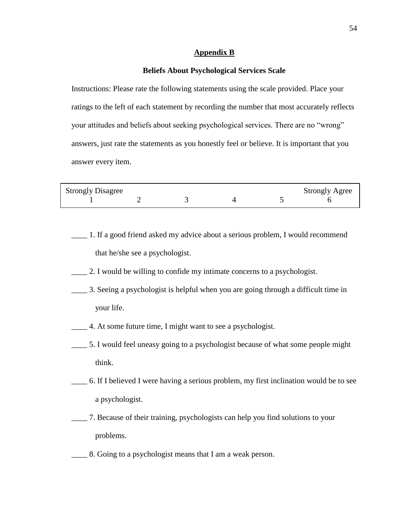#### **Appendix B**

#### **Beliefs About Psychological Services Scale**

Instructions: Please rate the following statements using the scale provided. Place your ratings to the left of each statement by recording the number that most accurately reflects your attitudes and beliefs about seeking psychological services. There are no "wrong" answers, just rate the statements as you honestly feel or believe. It is important that you answer every item.

| <b>Strongly Disagree</b> |  |  | <b>Strongly Agree</b> |
|--------------------------|--|--|-----------------------|
|                          |  |  |                       |

- \_\_\_\_ 1. If a good friend asked my advice about a serious problem, I would recommend that he/she see a psychologist.
- \_\_\_\_ 2. I would be willing to confide my intimate concerns to a psychologist.
- \_\_\_\_ 3. Seeing a psychologist is helpful when you are going through a difficult time in your life.
- \_\_\_\_ 4. At some future time, I might want to see a psychologist.
- \_\_\_\_ 5. I would feel uneasy going to a psychologist because of what some people might think.
- \_\_\_\_ 6. If I believed I were having a serious problem, my first inclination would be to see a psychologist.
- \_\_\_\_ 7. Because of their training, psychologists can help you find solutions to your problems.
- \_\_\_\_ 8. Going to a psychologist means that I am a weak person.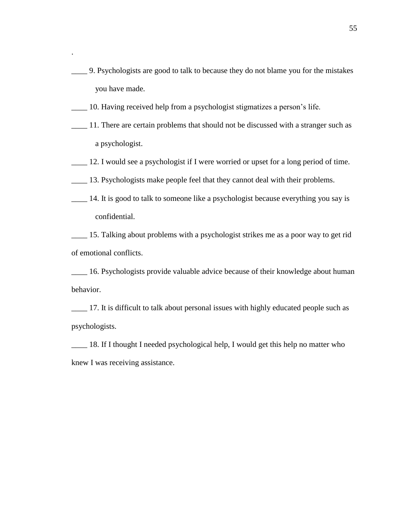- \_\_\_\_ 9. Psychologists are good to talk to because they do not blame you for the mistakes you have made.
- \_\_\_\_ 10. Having received help from a psychologist stigmatizes a person's life.

.

- \_\_\_\_ 11. There are certain problems that should not be discussed with a stranger such as a psychologist.
- \_\_\_\_ 12. I would see a psychologist if I were worried or upset for a long period of time.
- \_\_\_\_ 13. Psychologists make people feel that they cannot deal with their problems.
- \_\_\_\_ 14. It is good to talk to someone like a psychologist because everything you say is confidential.

\_\_\_\_ 15. Talking about problems with a psychologist strikes me as a poor way to get rid of emotional conflicts.

\_\_\_\_ 16. Psychologists provide valuable advice because of their knowledge about human behavior.

\_\_\_\_ 17. It is difficult to talk about personal issues with highly educated people such as psychologists.

\_\_\_\_ 18. If I thought I needed psychological help, I would get this help no matter who knew I was receiving assistance.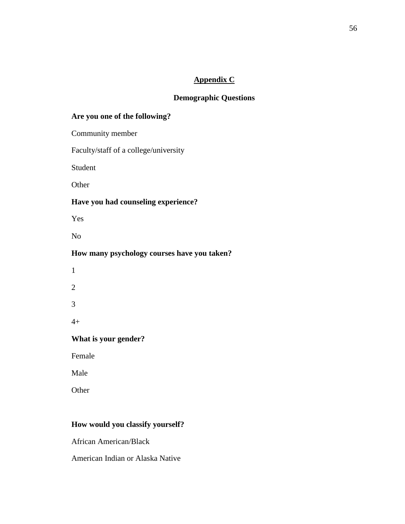## **Appendix C**

## **Demographic Questions**

## **Are you one of the following?**

Community member

Faculty/staff of a college/university

Student

**Other** 

## **Have you had counseling experience?**

Yes

No

## **How many psychology courses have you taken?**

## **What is your gender?**

Female

Male

**Other** 

## **How would you classify yourself?**

African American/Black

American Indian or Alaska Native